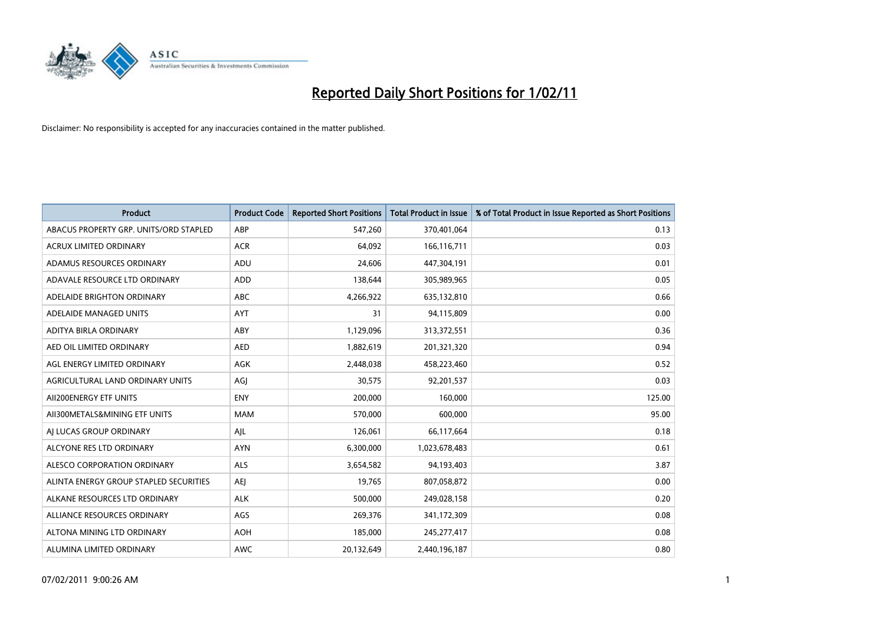

| Product                                | <b>Product Code</b> | <b>Reported Short Positions</b> | <b>Total Product in Issue</b> | % of Total Product in Issue Reported as Short Positions |
|----------------------------------------|---------------------|---------------------------------|-------------------------------|---------------------------------------------------------|
| ABACUS PROPERTY GRP. UNITS/ORD STAPLED | ABP                 | 547,260                         | 370,401,064                   | 0.13                                                    |
| <b>ACRUX LIMITED ORDINARY</b>          | <b>ACR</b>          | 64,092                          | 166,116,711                   | 0.03                                                    |
| ADAMUS RESOURCES ORDINARY              | ADU                 | 24,606                          | 447,304,191                   | 0.01                                                    |
| ADAVALE RESOURCE LTD ORDINARY          | <b>ADD</b>          | 138,644                         | 305,989,965                   | 0.05                                                    |
| ADELAIDE BRIGHTON ORDINARY             | <b>ABC</b>          | 4,266,922                       | 635,132,810                   | 0.66                                                    |
| ADELAIDE MANAGED UNITS                 | <b>AYT</b>          | 31                              | 94,115,809                    | 0.00                                                    |
| ADITYA BIRLA ORDINARY                  | ABY                 | 1,129,096                       | 313,372,551                   | 0.36                                                    |
| AED OIL LIMITED ORDINARY               | <b>AED</b>          | 1,882,619                       | 201,321,320                   | 0.94                                                    |
| AGL ENERGY LIMITED ORDINARY            | <b>AGK</b>          | 2,448,038                       | 458,223,460                   | 0.52                                                    |
| AGRICULTURAL LAND ORDINARY UNITS       | AGI                 | 30,575                          | 92,201,537                    | 0.03                                                    |
| AII200ENERGY ETF UNITS                 | <b>ENY</b>          | 200,000                         | 160,000                       | 125.00                                                  |
| AII300METALS&MINING ETF UNITS          | <b>MAM</b>          | 570,000                         | 600,000                       | 95.00                                                   |
| AI LUCAS GROUP ORDINARY                | AJL                 | 126,061                         | 66,117,664                    | 0.18                                                    |
| ALCYONE RES LTD ORDINARY               | <b>AYN</b>          | 6,300,000                       | 1,023,678,483                 | 0.61                                                    |
| ALESCO CORPORATION ORDINARY            | <b>ALS</b>          | 3,654,582                       | 94,193,403                    | 3.87                                                    |
| ALINTA ENERGY GROUP STAPLED SECURITIES | <b>AEI</b>          | 19,765                          | 807,058,872                   | 0.00                                                    |
| ALKANE RESOURCES LTD ORDINARY          | <b>ALK</b>          | 500,000                         | 249,028,158                   | 0.20                                                    |
| ALLIANCE RESOURCES ORDINARY            | AGS                 | 269,376                         | 341,172,309                   | 0.08                                                    |
| ALTONA MINING LTD ORDINARY             | <b>AOH</b>          | 185,000                         | 245,277,417                   | 0.08                                                    |
| ALUMINA LIMITED ORDINARY               | <b>AWC</b>          | 20,132,649                      | 2,440,196,187                 | 0.80                                                    |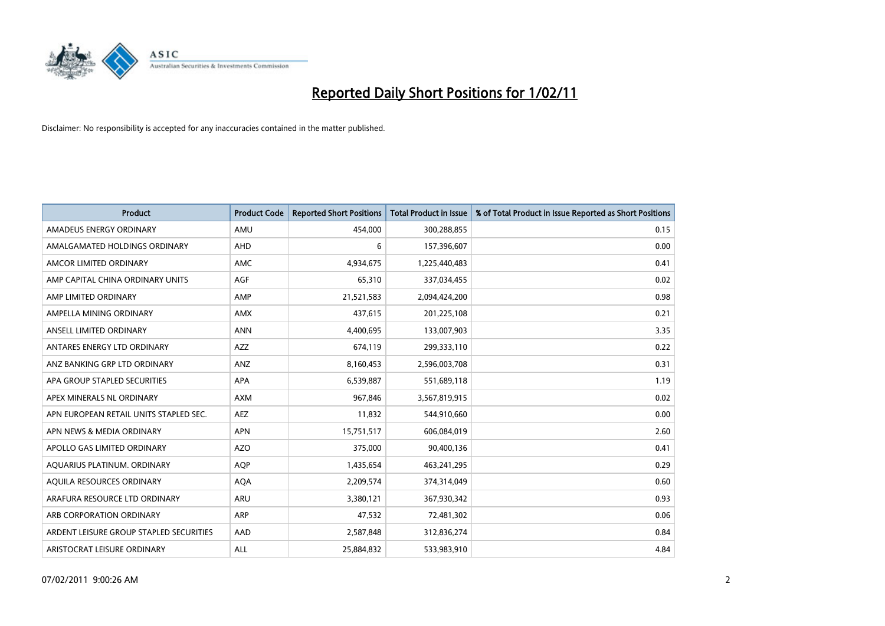

| Product                                 | <b>Product Code</b> | <b>Reported Short Positions</b> | <b>Total Product in Issue</b> | % of Total Product in Issue Reported as Short Positions |
|-----------------------------------------|---------------------|---------------------------------|-------------------------------|---------------------------------------------------------|
| AMADEUS ENERGY ORDINARY                 | AMU                 | 454,000                         | 300,288,855                   | 0.15                                                    |
| AMALGAMATED HOLDINGS ORDINARY           | <b>AHD</b>          | 6                               | 157,396,607                   | 0.00                                                    |
| AMCOR LIMITED ORDINARY                  | AMC                 | 4,934,675                       | 1,225,440,483                 | 0.41                                                    |
| AMP CAPITAL CHINA ORDINARY UNITS        | AGF                 | 65,310                          | 337,034,455                   | 0.02                                                    |
| AMP LIMITED ORDINARY                    | AMP                 | 21,521,583                      | 2,094,424,200                 | 0.98                                                    |
| AMPELLA MINING ORDINARY                 | <b>AMX</b>          | 437,615                         | 201,225,108                   | 0.21                                                    |
| ANSELL LIMITED ORDINARY                 | <b>ANN</b>          | 4.400.695                       | 133,007,903                   | 3.35                                                    |
| ANTARES ENERGY LTD ORDINARY             | <b>AZZ</b>          | 674,119                         | 299,333,110                   | 0.22                                                    |
| ANZ BANKING GRP LTD ORDINARY            | ANZ                 | 8,160,453                       | 2,596,003,708                 | 0.31                                                    |
| APA GROUP STAPLED SECURITIES            | <b>APA</b>          | 6,539,887                       | 551,689,118                   | 1.19                                                    |
| APEX MINERALS NL ORDINARY               | <b>AXM</b>          | 967,846                         | 3,567,819,915                 | 0.02                                                    |
| APN EUROPEAN RETAIL UNITS STAPLED SEC.  | <b>AEZ</b>          | 11,832                          | 544,910,660                   | 0.00                                                    |
| APN NEWS & MEDIA ORDINARY               | <b>APN</b>          | 15,751,517                      | 606,084,019                   | 2.60                                                    |
| APOLLO GAS LIMITED ORDINARY             | AZO                 | 375.000                         | 90,400,136                    | 0.41                                                    |
| AQUARIUS PLATINUM. ORDINARY             | <b>AOP</b>          | 1,435,654                       | 463,241,295                   | 0.29                                                    |
| AQUILA RESOURCES ORDINARY               | <b>AQA</b>          | 2,209,574                       | 374,314,049                   | 0.60                                                    |
| ARAFURA RESOURCE LTD ORDINARY           | <b>ARU</b>          | 3,380,121                       | 367,930,342                   | 0.93                                                    |
| ARB CORPORATION ORDINARY                | ARP                 | 47,532                          | 72,481,302                    | 0.06                                                    |
| ARDENT LEISURE GROUP STAPLED SECURITIES | AAD                 | 2,587,848                       | 312,836,274                   | 0.84                                                    |
| ARISTOCRAT LEISURE ORDINARY             | ALL                 | 25,884,832                      | 533,983,910                   | 4.84                                                    |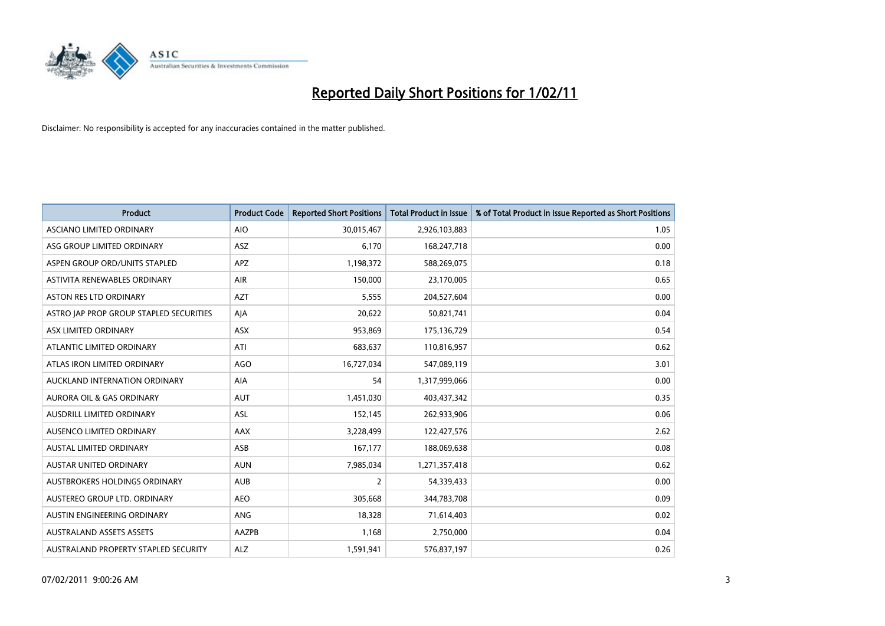

| <b>Product</b>                          | <b>Product Code</b> | <b>Reported Short Positions</b> | Total Product in Issue | % of Total Product in Issue Reported as Short Positions |
|-----------------------------------------|---------------------|---------------------------------|------------------------|---------------------------------------------------------|
| ASCIANO LIMITED ORDINARY                | <b>AIO</b>          | 30,015,467                      | 2,926,103,883          | 1.05                                                    |
| ASG GROUP LIMITED ORDINARY              | <b>ASZ</b>          | 6,170                           | 168,247,718            | 0.00                                                    |
| ASPEN GROUP ORD/UNITS STAPLED           | <b>APZ</b>          | 1,198,372                       | 588,269,075            | 0.18                                                    |
| ASTIVITA RENEWABLES ORDINARY            | AIR                 | 150,000                         | 23,170,005             | 0.65                                                    |
| <b>ASTON RES LTD ORDINARY</b>           | <b>AZT</b>          | 5,555                           | 204,527,604            | 0.00                                                    |
| ASTRO JAP PROP GROUP STAPLED SECURITIES | AJA                 | 20,622                          | 50,821,741             | 0.04                                                    |
| ASX LIMITED ORDINARY                    | <b>ASX</b>          | 953,869                         | 175,136,729            | 0.54                                                    |
| ATLANTIC LIMITED ORDINARY               | ATI                 | 683,637                         | 110,816,957            | 0.62                                                    |
| ATLAS IRON LIMITED ORDINARY             | <b>AGO</b>          | 16,727,034                      | 547,089,119            | 3.01                                                    |
| AUCKLAND INTERNATION ORDINARY           | <b>AIA</b>          | 54                              | 1,317,999,066          | 0.00                                                    |
| AURORA OIL & GAS ORDINARY               | <b>AUT</b>          | 1,451,030                       | 403,437,342            | 0.35                                                    |
| <b>AUSDRILL LIMITED ORDINARY</b>        | ASL                 | 152,145                         | 262,933,906            | 0.06                                                    |
| AUSENCO LIMITED ORDINARY                | <b>AAX</b>          | 3,228,499                       | 122,427,576            | 2.62                                                    |
| <b>AUSTAL LIMITED ORDINARY</b>          | ASB                 | 167,177                         | 188,069,638            | 0.08                                                    |
| <b>AUSTAR UNITED ORDINARY</b>           | <b>AUN</b>          | 7,985,034                       | 1,271,357,418          | 0.62                                                    |
| AUSTBROKERS HOLDINGS ORDINARY           | <b>AUB</b>          | 2                               | 54,339,433             | 0.00                                                    |
| AUSTEREO GROUP LTD. ORDINARY            | <b>AEO</b>          | 305,668                         | 344,783,708            | 0.09                                                    |
| AUSTIN ENGINEERING ORDINARY             | ANG                 | 18,328                          | 71,614,403             | 0.02                                                    |
| <b>AUSTRALAND ASSETS ASSETS</b>         | <b>AAZPB</b>        | 1,168                           | 2,750,000              | 0.04                                                    |
| AUSTRALAND PROPERTY STAPLED SECURITY    | <b>ALZ</b>          | 1,591,941                       | 576,837,197            | 0.26                                                    |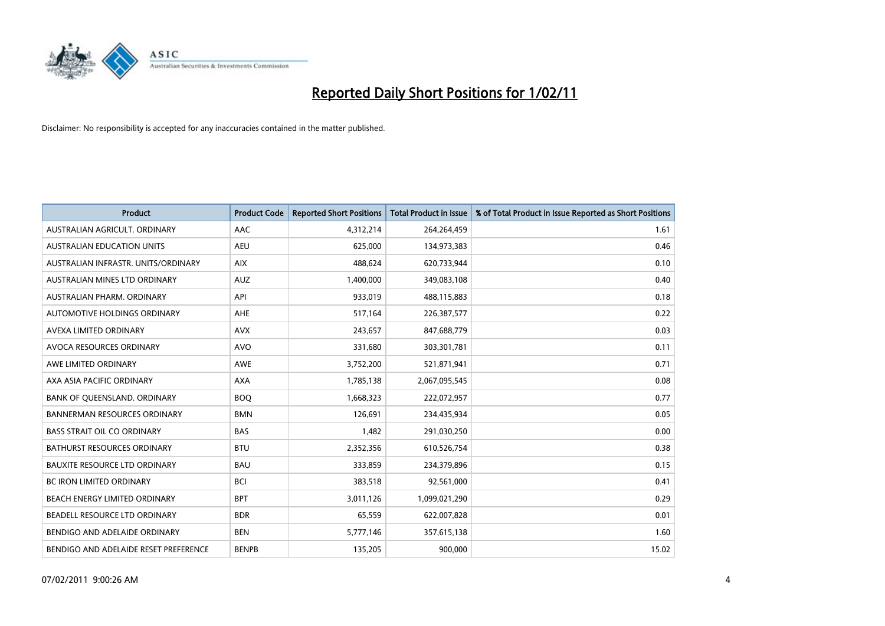

| <b>Product</b>                        | <b>Product Code</b> | <b>Reported Short Positions</b> | Total Product in Issue | % of Total Product in Issue Reported as Short Positions |
|---------------------------------------|---------------------|---------------------------------|------------------------|---------------------------------------------------------|
| AUSTRALIAN AGRICULT, ORDINARY         | AAC                 | 4,312,214                       | 264,264,459            | 1.61                                                    |
| <b>AUSTRALIAN EDUCATION UNITS</b>     | <b>AEU</b>          | 625,000                         | 134,973,383            | 0.46                                                    |
| AUSTRALIAN INFRASTR, UNITS/ORDINARY   | <b>AIX</b>          | 488.624                         | 620,733,944            | 0.10                                                    |
| AUSTRALIAN MINES LTD ORDINARY         | <b>AUZ</b>          | 1,400,000                       | 349,083,108            | 0.40                                                    |
| AUSTRALIAN PHARM, ORDINARY            | API                 | 933,019                         | 488,115,883            | 0.18                                                    |
| <b>AUTOMOTIVE HOLDINGS ORDINARY</b>   | <b>AHE</b>          | 517,164                         | 226,387,577            | 0.22                                                    |
| AVEXA LIMITED ORDINARY                | <b>AVX</b>          | 243,657                         | 847,688,779            | 0.03                                                    |
| AVOCA RESOURCES ORDINARY              | <b>AVO</b>          | 331,680                         | 303,301,781            | 0.11                                                    |
| AWE LIMITED ORDINARY                  | <b>AWE</b>          | 3,752,200                       | 521,871,941            | 0.71                                                    |
| AXA ASIA PACIFIC ORDINARY             | <b>AXA</b>          | 1,785,138                       | 2,067,095,545          | 0.08                                                    |
| BANK OF QUEENSLAND. ORDINARY          | <b>BOO</b>          | 1,668,323                       | 222,072,957            | 0.77                                                    |
| <b>BANNERMAN RESOURCES ORDINARY</b>   | <b>BMN</b>          | 126,691                         | 234,435,934            | 0.05                                                    |
| <b>BASS STRAIT OIL CO ORDINARY</b>    | <b>BAS</b>          | 1,482                           | 291,030,250            | 0.00                                                    |
| <b>BATHURST RESOURCES ORDINARY</b>    | <b>BTU</b>          | 2,352,356                       | 610,526,754            | 0.38                                                    |
| <b>BAUXITE RESOURCE LTD ORDINARY</b>  | <b>BAU</b>          | 333,859                         | 234,379,896            | 0.15                                                    |
| <b>BC IRON LIMITED ORDINARY</b>       | <b>BCI</b>          | 383,518                         | 92,561,000             | 0.41                                                    |
| <b>BEACH ENERGY LIMITED ORDINARY</b>  | <b>BPT</b>          | 3,011,126                       | 1,099,021,290          | 0.29                                                    |
| BEADELL RESOURCE LTD ORDINARY         | <b>BDR</b>          | 65,559                          | 622,007,828            | 0.01                                                    |
| BENDIGO AND ADELAIDE ORDINARY         | <b>BEN</b>          | 5,777,146                       | 357,615,138            | 1.60                                                    |
| BENDIGO AND ADELAIDE RESET PREFERENCE | <b>BENPB</b>        | 135,205                         | 900,000                | 15.02                                                   |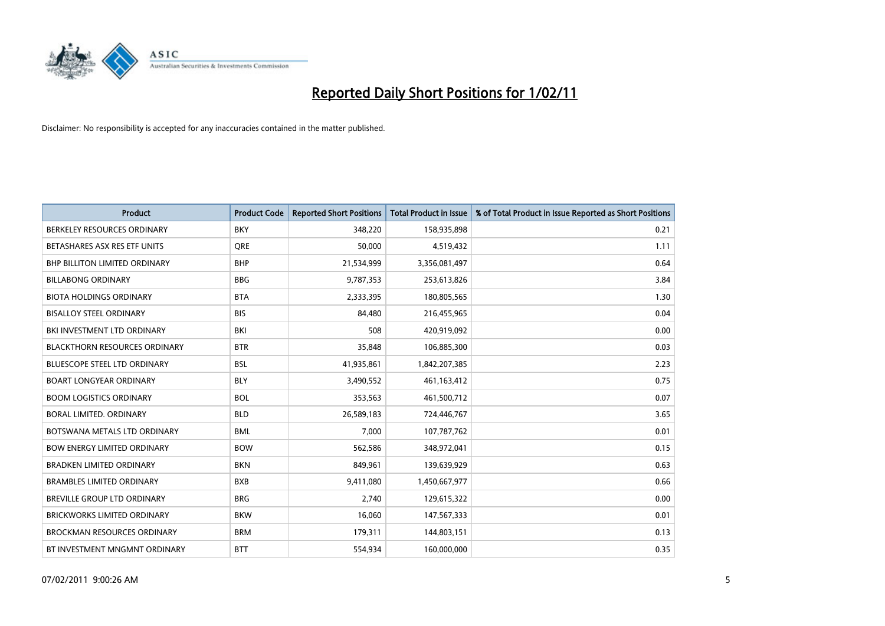

| <b>Product</b>                       | <b>Product Code</b> | <b>Reported Short Positions</b> | <b>Total Product in Issue</b> | % of Total Product in Issue Reported as Short Positions |
|--------------------------------------|---------------------|---------------------------------|-------------------------------|---------------------------------------------------------|
| BERKELEY RESOURCES ORDINARY          | <b>BKY</b>          | 348,220                         | 158,935,898                   | 0.21                                                    |
| BETASHARES ASX RES ETF UNITS         | <b>ORE</b>          | 50,000                          | 4,519,432                     | 1.11                                                    |
| <b>BHP BILLITON LIMITED ORDINARY</b> | <b>BHP</b>          | 21,534,999                      | 3,356,081,497                 | 0.64                                                    |
| <b>BILLABONG ORDINARY</b>            | <b>BBG</b>          | 9,787,353                       | 253,613,826                   | 3.84                                                    |
| <b>BIOTA HOLDINGS ORDINARY</b>       | <b>BTA</b>          | 2,333,395                       | 180,805,565                   | 1.30                                                    |
| <b>BISALLOY STEEL ORDINARY</b>       | <b>BIS</b>          | 84.480                          | 216,455,965                   | 0.04                                                    |
| BKI INVESTMENT LTD ORDINARY          | <b>BKI</b>          | 508                             | 420,919,092                   | 0.00                                                    |
| <b>BLACKTHORN RESOURCES ORDINARY</b> | <b>BTR</b>          | 35,848                          | 106,885,300                   | 0.03                                                    |
| BLUESCOPE STEEL LTD ORDINARY         | <b>BSL</b>          | 41,935,861                      | 1,842,207,385                 | 2.23                                                    |
| <b>BOART LONGYEAR ORDINARY</b>       | <b>BLY</b>          | 3,490,552                       | 461,163,412                   | 0.75                                                    |
| <b>BOOM LOGISTICS ORDINARY</b>       | <b>BOL</b>          | 353,563                         | 461,500,712                   | 0.07                                                    |
| BORAL LIMITED. ORDINARY              | <b>BLD</b>          | 26,589,183                      | 724,446,767                   | 3.65                                                    |
| BOTSWANA METALS LTD ORDINARY         | <b>BML</b>          | 7,000                           | 107,787,762                   | 0.01                                                    |
| <b>BOW ENERGY LIMITED ORDINARY</b>   | <b>BOW</b>          | 562,586                         | 348,972,041                   | 0.15                                                    |
| <b>BRADKEN LIMITED ORDINARY</b>      | <b>BKN</b>          | 849,961                         | 139,639,929                   | 0.63                                                    |
| <b>BRAMBLES LIMITED ORDINARY</b>     | <b>BXB</b>          | 9,411,080                       | 1,450,667,977                 | 0.66                                                    |
| <b>BREVILLE GROUP LTD ORDINARY</b>   | <b>BRG</b>          | 2,740                           | 129,615,322                   | 0.00                                                    |
| <b>BRICKWORKS LIMITED ORDINARY</b>   | <b>BKW</b>          | 16,060                          | 147,567,333                   | 0.01                                                    |
| <b>BROCKMAN RESOURCES ORDINARY</b>   | <b>BRM</b>          | 179,311                         | 144,803,151                   | 0.13                                                    |
| BT INVESTMENT MNGMNT ORDINARY        | <b>BTT</b>          | 554,934                         | 160,000,000                   | 0.35                                                    |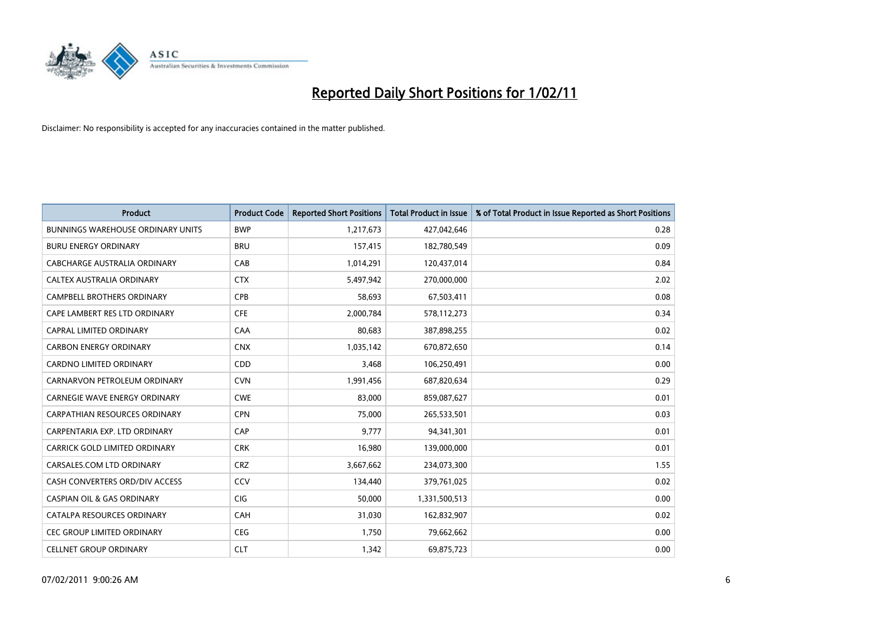

| Product                                  | <b>Product Code</b> | <b>Reported Short Positions</b> | <b>Total Product in Issue</b> | % of Total Product in Issue Reported as Short Positions |
|------------------------------------------|---------------------|---------------------------------|-------------------------------|---------------------------------------------------------|
| <b>BUNNINGS WAREHOUSE ORDINARY UNITS</b> | <b>BWP</b>          | 1,217,673                       | 427,042,646                   | 0.28                                                    |
| <b>BURU ENERGY ORDINARY</b>              | <b>BRU</b>          | 157,415                         | 182,780,549                   | 0.09                                                    |
| CABCHARGE AUSTRALIA ORDINARY             | CAB                 | 1,014,291                       | 120,437,014                   | 0.84                                                    |
| CALTEX AUSTRALIA ORDINARY                | <b>CTX</b>          | 5,497,942                       | 270,000,000                   | 2.02                                                    |
| <b>CAMPBELL BROTHERS ORDINARY</b>        | CPB                 | 58,693                          | 67,503,411                    | 0.08                                                    |
| CAPE LAMBERT RES LTD ORDINARY            | <b>CFE</b>          | 2,000,784                       | 578,112,273                   | 0.34                                                    |
| <b>CAPRAL LIMITED ORDINARY</b>           | CAA                 | 80.683                          | 387,898,255                   | 0.02                                                    |
| <b>CARBON ENERGY ORDINARY</b>            | <b>CNX</b>          | 1,035,142                       | 670,872,650                   | 0.14                                                    |
| CARDNO LIMITED ORDINARY                  | CDD                 | 3,468                           | 106,250,491                   | 0.00                                                    |
| CARNARVON PETROLEUM ORDINARY             | <b>CVN</b>          | 1,991,456                       | 687,820,634                   | 0.29                                                    |
| <b>CARNEGIE WAVE ENERGY ORDINARY</b>     | <b>CWE</b>          | 83,000                          | 859,087,627                   | 0.01                                                    |
| <b>CARPATHIAN RESOURCES ORDINARY</b>     | <b>CPN</b>          | 75,000                          | 265,533,501                   | 0.03                                                    |
| CARPENTARIA EXP. LTD ORDINARY            | CAP                 | 9.777                           | 94,341,301                    | 0.01                                                    |
| CARRICK GOLD LIMITED ORDINARY            | <b>CRK</b>          | 16,980                          | 139,000,000                   | 0.01                                                    |
| CARSALES.COM LTD ORDINARY                | <b>CRZ</b>          | 3,667,662                       | 234,073,300                   | 1.55                                                    |
| CASH CONVERTERS ORD/DIV ACCESS           | CCV                 | 134,440                         | 379,761,025                   | 0.02                                                    |
| <b>CASPIAN OIL &amp; GAS ORDINARY</b>    | <b>CIG</b>          | 50,000                          | 1,331,500,513                 | 0.00                                                    |
| CATALPA RESOURCES ORDINARY               | CAH                 | 31,030                          | 162,832,907                   | 0.02                                                    |
| <b>CEC GROUP LIMITED ORDINARY</b>        | <b>CEG</b>          | 1,750                           | 79,662,662                    | 0.00                                                    |
| <b>CELLNET GROUP ORDINARY</b>            | <b>CLT</b>          | 1,342                           | 69,875,723                    | 0.00                                                    |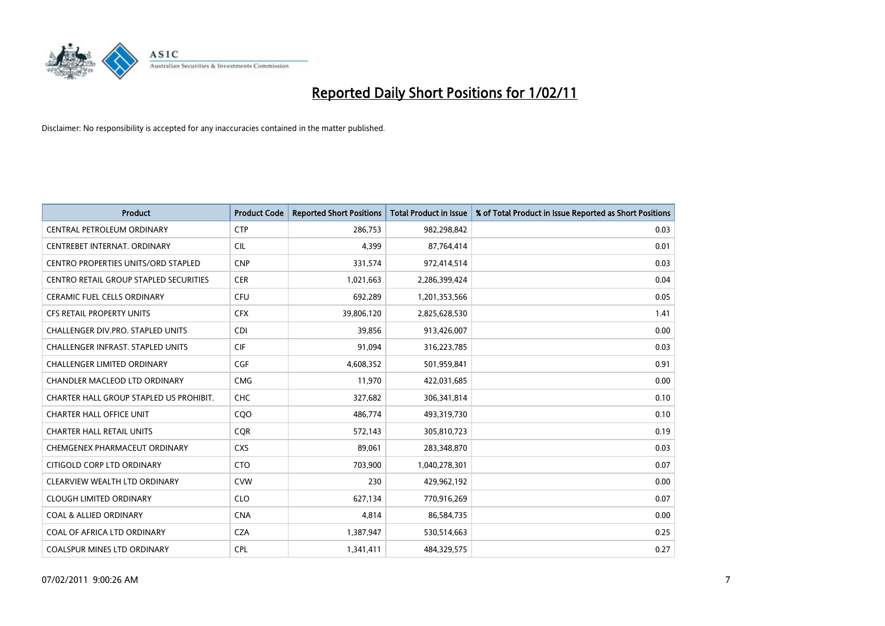

| <b>Product</b>                                | <b>Product Code</b> | <b>Reported Short Positions</b> | <b>Total Product in Issue</b> | % of Total Product in Issue Reported as Short Positions |
|-----------------------------------------------|---------------------|---------------------------------|-------------------------------|---------------------------------------------------------|
| CENTRAL PETROLEUM ORDINARY                    | <b>CTP</b>          | 286,753                         | 982,298,842                   | 0.03                                                    |
| CENTREBET INTERNAT. ORDINARY                  | <b>CIL</b>          | 4,399                           | 87,764,414                    | 0.01                                                    |
| <b>CENTRO PROPERTIES UNITS/ORD STAPLED</b>    | <b>CNP</b>          | 331,574                         | 972,414,514                   | 0.03                                                    |
| <b>CENTRO RETAIL GROUP STAPLED SECURITIES</b> | <b>CER</b>          | 1,021,663                       | 2,286,399,424                 | 0.04                                                    |
| <b>CERAMIC FUEL CELLS ORDINARY</b>            | <b>CFU</b>          | 692,289                         | 1,201,353,566                 | 0.05                                                    |
| <b>CFS RETAIL PROPERTY UNITS</b>              | <b>CFX</b>          | 39,806,120                      | 2,825,628,530                 | 1.41                                                    |
| CHALLENGER DIV.PRO. STAPLED UNITS             | <b>CDI</b>          | 39.856                          | 913,426,007                   | 0.00                                                    |
| <b>CHALLENGER INFRAST, STAPLED UNITS</b>      | <b>CIF</b>          | 91,094                          | 316,223,785                   | 0.03                                                    |
| CHALLENGER LIMITED ORDINARY                   | <b>CGF</b>          | 4,608,352                       | 501,959,841                   | 0.91                                                    |
| <b>CHANDLER MACLEOD LTD ORDINARY</b>          | <b>CMG</b>          | 11,970                          | 422,031,685                   | 0.00                                                    |
| CHARTER HALL GROUP STAPLED US PROHIBIT.       | <b>CHC</b>          | 327,682                         | 306,341,814                   | 0.10                                                    |
| <b>CHARTER HALL OFFICE UNIT</b>               | CQ <sub>O</sub>     | 486,774                         | 493,319,730                   | 0.10                                                    |
| <b>CHARTER HALL RETAIL UNITS</b>              | <b>CQR</b>          | 572,143                         | 305,810,723                   | 0.19                                                    |
| CHEMGENEX PHARMACEUT ORDINARY                 | <b>CXS</b>          | 89,061                          | 283,348,870                   | 0.03                                                    |
| CITIGOLD CORP LTD ORDINARY                    | <b>CTO</b>          | 703,900                         | 1,040,278,301                 | 0.07                                                    |
| CLEARVIEW WEALTH LTD ORDINARY                 | <b>CVW</b>          | 230                             | 429,962,192                   | 0.00                                                    |
| <b>CLOUGH LIMITED ORDINARY</b>                | <b>CLO</b>          | 627,134                         | 770,916,269                   | 0.07                                                    |
| <b>COAL &amp; ALLIED ORDINARY</b>             | <b>CNA</b>          | 4,814                           | 86,584,735                    | 0.00                                                    |
| COAL OF AFRICA LTD ORDINARY                   | <b>CZA</b>          | 1,387,947                       | 530,514,663                   | 0.25                                                    |
| <b>COALSPUR MINES LTD ORDINARY</b>            | CPL                 | 1,341,411                       | 484,329,575                   | 0.27                                                    |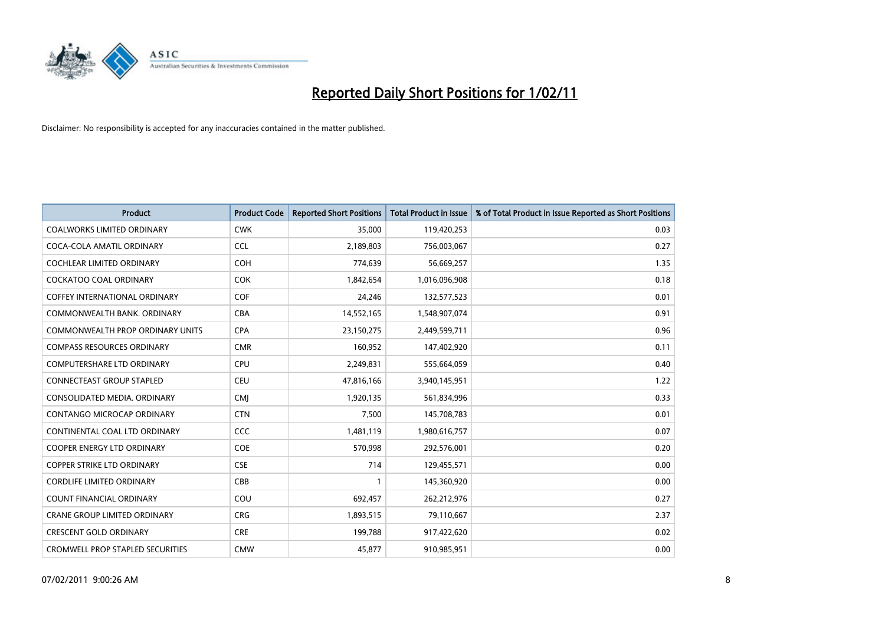

| <b>Product</b>                          | <b>Product Code</b> | <b>Reported Short Positions</b> | Total Product in Issue | % of Total Product in Issue Reported as Short Positions |
|-----------------------------------------|---------------------|---------------------------------|------------------------|---------------------------------------------------------|
| <b>COALWORKS LIMITED ORDINARY</b>       | <b>CWK</b>          | 35,000                          | 119,420,253            | 0.03                                                    |
| COCA-COLA AMATIL ORDINARY               | <b>CCL</b>          | 2,189,803                       | 756,003,067            | 0.27                                                    |
| <b>COCHLEAR LIMITED ORDINARY</b>        | <b>COH</b>          | 774,639                         | 56,669,257             | 1.35                                                    |
| COCKATOO COAL ORDINARY                  | <b>COK</b>          | 1,842,654                       | 1,016,096,908          | 0.18                                                    |
| <b>COFFEY INTERNATIONAL ORDINARY</b>    | <b>COF</b>          | 24,246                          | 132,577,523            | 0.01                                                    |
| COMMONWEALTH BANK, ORDINARY             | <b>CBA</b>          | 14,552,165                      | 1,548,907,074          | 0.91                                                    |
| <b>COMMONWEALTH PROP ORDINARY UNITS</b> | <b>CPA</b>          | 23,150,275                      | 2,449,599,711          | 0.96                                                    |
| <b>COMPASS RESOURCES ORDINARY</b>       | <b>CMR</b>          | 160,952                         | 147,402,920            | 0.11                                                    |
| <b>COMPUTERSHARE LTD ORDINARY</b>       | <b>CPU</b>          | 2,249,831                       | 555,664,059            | 0.40                                                    |
| <b>CONNECTEAST GROUP STAPLED</b>        | <b>CEU</b>          | 47,816,166                      | 3,940,145,951          | 1.22                                                    |
| CONSOLIDATED MEDIA, ORDINARY            | <b>CMI</b>          | 1,920,135                       | 561,834,996            | 0.33                                                    |
| CONTANGO MICROCAP ORDINARY              | <b>CTN</b>          | 7,500                           | 145,708,783            | 0.01                                                    |
| CONTINENTAL COAL LTD ORDINARY           | <b>CCC</b>          | 1,481,119                       | 1,980,616,757          | 0.07                                                    |
| <b>COOPER ENERGY LTD ORDINARY</b>       | <b>COE</b>          | 570.998                         | 292,576,001            | 0.20                                                    |
| <b>COPPER STRIKE LTD ORDINARY</b>       | <b>CSE</b>          | 714                             | 129,455,571            | 0.00                                                    |
| <b>CORDLIFE LIMITED ORDINARY</b>        | CBB                 |                                 | 145,360,920            | 0.00                                                    |
| <b>COUNT FINANCIAL ORDINARY</b>         | COU                 | 692,457                         | 262,212,976            | 0.27                                                    |
| <b>CRANE GROUP LIMITED ORDINARY</b>     | <b>CRG</b>          | 1,893,515                       | 79,110,667             | 2.37                                                    |
| <b>CRESCENT GOLD ORDINARY</b>           | <b>CRE</b>          | 199.788                         | 917,422,620            | 0.02                                                    |
| <b>CROMWELL PROP STAPLED SECURITIES</b> | <b>CMW</b>          | 45.877                          | 910,985,951            | 0.00                                                    |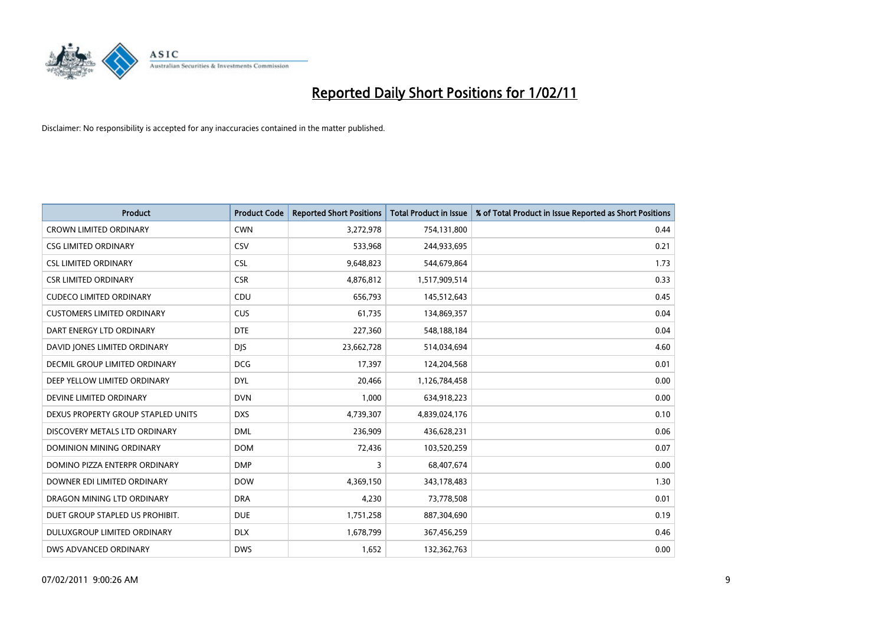

| Product                              | <b>Product Code</b> | <b>Reported Short Positions</b> | <b>Total Product in Issue</b> | % of Total Product in Issue Reported as Short Positions |
|--------------------------------------|---------------------|---------------------------------|-------------------------------|---------------------------------------------------------|
| <b>CROWN LIMITED ORDINARY</b>        | <b>CWN</b>          | 3,272,978                       | 754,131,800                   | 0.44                                                    |
| <b>CSG LIMITED ORDINARY</b>          | <b>CSV</b>          | 533,968                         | 244,933,695                   | 0.21                                                    |
| <b>CSL LIMITED ORDINARY</b>          | <b>CSL</b>          | 9,648,823                       | 544,679,864                   | 1.73                                                    |
| <b>CSR LIMITED ORDINARY</b>          | <b>CSR</b>          | 4,876,812                       | 1,517,909,514                 | 0.33                                                    |
| <b>CUDECO LIMITED ORDINARY</b>       | CDU                 | 656,793                         | 145,512,643                   | 0.45                                                    |
| <b>CUSTOMERS LIMITED ORDINARY</b>    | <b>CUS</b>          | 61,735                          | 134,869,357                   | 0.04                                                    |
| DART ENERGY LTD ORDINARY             | <b>DTE</b>          | 227,360                         | 548,188,184                   | 0.04                                                    |
| DAVID JONES LIMITED ORDINARY         | <b>DJS</b>          | 23,662,728                      | 514,034,694                   | 4.60                                                    |
| <b>DECMIL GROUP LIMITED ORDINARY</b> | <b>DCG</b>          | 17,397                          | 124,204,568                   | 0.01                                                    |
| DEEP YELLOW LIMITED ORDINARY         | <b>DYL</b>          | 20,466                          | 1,126,784,458                 | 0.00                                                    |
| DEVINE LIMITED ORDINARY              | <b>DVN</b>          | 1,000                           | 634,918,223                   | 0.00                                                    |
| DEXUS PROPERTY GROUP STAPLED UNITS   | <b>DXS</b>          | 4,739,307                       | 4,839,024,176                 | 0.10                                                    |
| DISCOVERY METALS LTD ORDINARY        | <b>DML</b>          | 236,909                         | 436,628,231                   | 0.06                                                    |
| <b>DOMINION MINING ORDINARY</b>      | <b>DOM</b>          | 72,436                          | 103,520,259                   | 0.07                                                    |
| DOMINO PIZZA ENTERPR ORDINARY        | <b>DMP</b>          | 3                               | 68,407,674                    | 0.00                                                    |
| DOWNER EDI LIMITED ORDINARY          | <b>DOW</b>          | 4,369,150                       | 343,178,483                   | 1.30                                                    |
| DRAGON MINING LTD ORDINARY           | <b>DRA</b>          | 4,230                           | 73,778,508                    | 0.01                                                    |
| DUET GROUP STAPLED US PROHIBIT.      | <b>DUE</b>          | 1,751,258                       | 887,304,690                   | 0.19                                                    |
| DULUXGROUP LIMITED ORDINARY          | <b>DLX</b>          | 1,678,799                       | 367,456,259                   | 0.46                                                    |
| DWS ADVANCED ORDINARY                | <b>DWS</b>          | 1,652                           | 132,362,763                   | 0.00                                                    |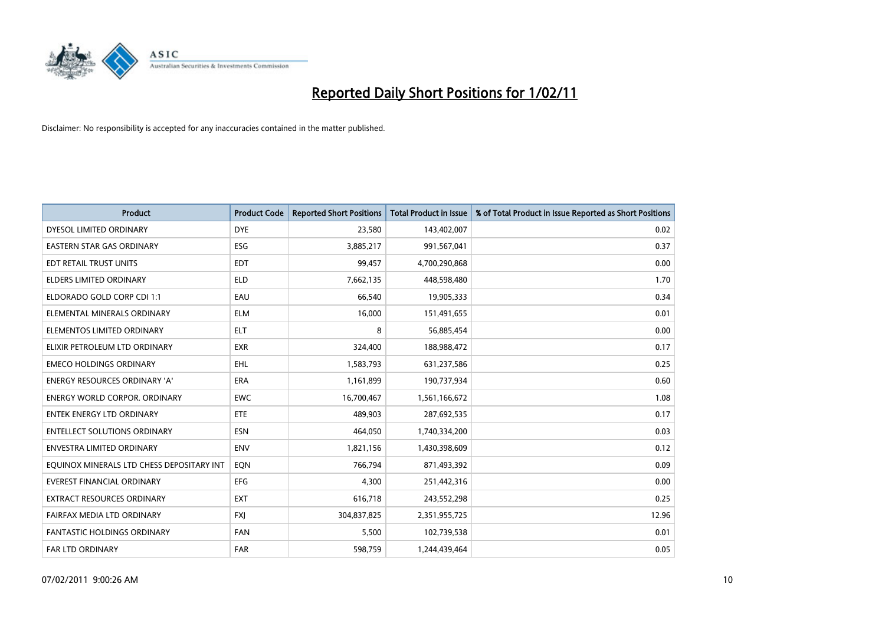

| <b>Product</b>                            | <b>Product Code</b> | <b>Reported Short Positions</b> | Total Product in Issue | % of Total Product in Issue Reported as Short Positions |
|-------------------------------------------|---------------------|---------------------------------|------------------------|---------------------------------------------------------|
| DYESOL LIMITED ORDINARY                   | <b>DYE</b>          | 23,580                          | 143,402,007            | 0.02                                                    |
| EASTERN STAR GAS ORDINARY                 | <b>ESG</b>          | 3,885,217                       | 991,567,041            | 0.37                                                    |
| EDT RETAIL TRUST UNITS                    | EDT                 | 99,457                          | 4,700,290,868          | 0.00                                                    |
| <b>ELDERS LIMITED ORDINARY</b>            | <b>ELD</b>          | 7,662,135                       | 448,598,480            | 1.70                                                    |
| ELDORADO GOLD CORP CDI 1:1                | EAU                 | 66,540                          | 19,905,333             | 0.34                                                    |
| ELEMENTAL MINERALS ORDINARY               | <b>ELM</b>          | 16,000                          | 151,491,655            | 0.01                                                    |
| ELEMENTOS LIMITED ORDINARY                | <b>ELT</b>          | 8                               | 56,885,454             | 0.00                                                    |
| ELIXIR PETROLEUM LTD ORDINARY             | <b>EXR</b>          | 324,400                         | 188,988,472            | 0.17                                                    |
| <b>EMECO HOLDINGS ORDINARY</b>            | <b>EHL</b>          | 1,583,793                       | 631,237,586            | 0.25                                                    |
| <b>ENERGY RESOURCES ORDINARY 'A'</b>      | <b>ERA</b>          | 1,161,899                       | 190,737,934            | 0.60                                                    |
| <b>ENERGY WORLD CORPOR. ORDINARY</b>      | <b>EWC</b>          | 16,700,467                      | 1,561,166,672          | 1.08                                                    |
| <b>ENTEK ENERGY LTD ORDINARY</b>          | <b>ETE</b>          | 489,903                         | 287,692,535            | 0.17                                                    |
| <b>ENTELLECT SOLUTIONS ORDINARY</b>       | <b>ESN</b>          | 464,050                         | 1,740,334,200          | 0.03                                                    |
| <b>ENVESTRA LIMITED ORDINARY</b>          | <b>ENV</b>          | 1,821,156                       | 1,430,398,609          | 0.12                                                    |
| EQUINOX MINERALS LTD CHESS DEPOSITARY INT | EON                 | 766,794                         | 871,493,392            | 0.09                                                    |
| <b>EVEREST FINANCIAL ORDINARY</b>         | <b>EFG</b>          | 4,300                           | 251,442,316            | 0.00                                                    |
| <b>EXTRACT RESOURCES ORDINARY</b>         | <b>EXT</b>          | 616,718                         | 243,552,298            | 0.25                                                    |
| FAIRFAX MEDIA LTD ORDINARY                | <b>FXJ</b>          | 304,837,825                     | 2,351,955,725          | 12.96                                                   |
| <b>FANTASTIC HOLDINGS ORDINARY</b>        | <b>FAN</b>          | 5,500                           | 102,739,538            | 0.01                                                    |
| <b>FAR LTD ORDINARY</b>                   | <b>FAR</b>          | 598,759                         | 1,244,439,464          | 0.05                                                    |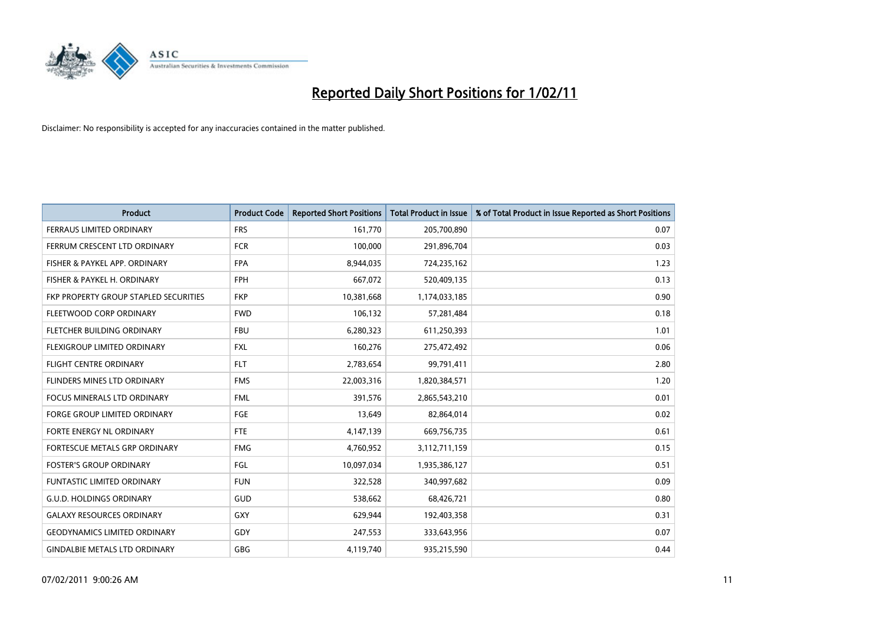

| Product                               | <b>Product Code</b> | <b>Reported Short Positions</b> | Total Product in Issue | % of Total Product in Issue Reported as Short Positions |
|---------------------------------------|---------------------|---------------------------------|------------------------|---------------------------------------------------------|
| <b>FERRAUS LIMITED ORDINARY</b>       | <b>FRS</b>          | 161,770                         | 205,700,890            | 0.07                                                    |
| FERRUM CRESCENT LTD ORDINARY          | <b>FCR</b>          | 100,000                         | 291,896,704            | 0.03                                                    |
| FISHER & PAYKEL APP. ORDINARY         | <b>FPA</b>          | 8,944,035                       | 724,235,162            | 1.23                                                    |
| FISHER & PAYKEL H. ORDINARY           | <b>FPH</b>          | 667,072                         | 520,409,135            | 0.13                                                    |
| FKP PROPERTY GROUP STAPLED SECURITIES | <b>FKP</b>          | 10,381,668                      | 1,174,033,185          | 0.90                                                    |
| FLEETWOOD CORP ORDINARY               | <b>FWD</b>          | 106,132                         | 57,281,484             | 0.18                                                    |
| FLETCHER BUILDING ORDINARY            | <b>FBU</b>          | 6,280,323                       | 611,250,393            | 1.01                                                    |
| FLEXIGROUP LIMITED ORDINARY           | <b>FXL</b>          | 160,276                         | 275,472,492            | 0.06                                                    |
| <b>FLIGHT CENTRE ORDINARY</b>         | <b>FLT</b>          | 2,783,654                       | 99,791,411             | 2.80                                                    |
| FLINDERS MINES LTD ORDINARY           | <b>FMS</b>          | 22,003,316                      | 1,820,384,571          | 1.20                                                    |
| <b>FOCUS MINERALS LTD ORDINARY</b>    | <b>FML</b>          | 391,576                         | 2,865,543,210          | 0.01                                                    |
| <b>FORGE GROUP LIMITED ORDINARY</b>   | FGE                 | 13,649                          | 82,864,014             | 0.02                                                    |
| FORTE ENERGY NL ORDINARY              | <b>FTE</b>          | 4,147,139                       | 669,756,735            | 0.61                                                    |
| FORTESCUE METALS GRP ORDINARY         | <b>FMG</b>          | 4,760,952                       | 3,112,711,159          | 0.15                                                    |
| <b>FOSTER'S GROUP ORDINARY</b>        | <b>FGL</b>          | 10,097,034                      | 1,935,386,127          | 0.51                                                    |
| <b>FUNTASTIC LIMITED ORDINARY</b>     | <b>FUN</b>          | 322,528                         | 340,997,682            | 0.09                                                    |
| <b>G.U.D. HOLDINGS ORDINARY</b>       | GUD                 | 538,662                         | 68,426,721             | 0.80                                                    |
| <b>GALAXY RESOURCES ORDINARY</b>      | GXY                 | 629,944                         | 192,403,358            | 0.31                                                    |
| <b>GEODYNAMICS LIMITED ORDINARY</b>   | GDY                 | 247,553                         | 333,643,956            | 0.07                                                    |
| <b>GINDALBIE METALS LTD ORDINARY</b>  | <b>GBG</b>          | 4,119,740                       | 935,215,590            | 0.44                                                    |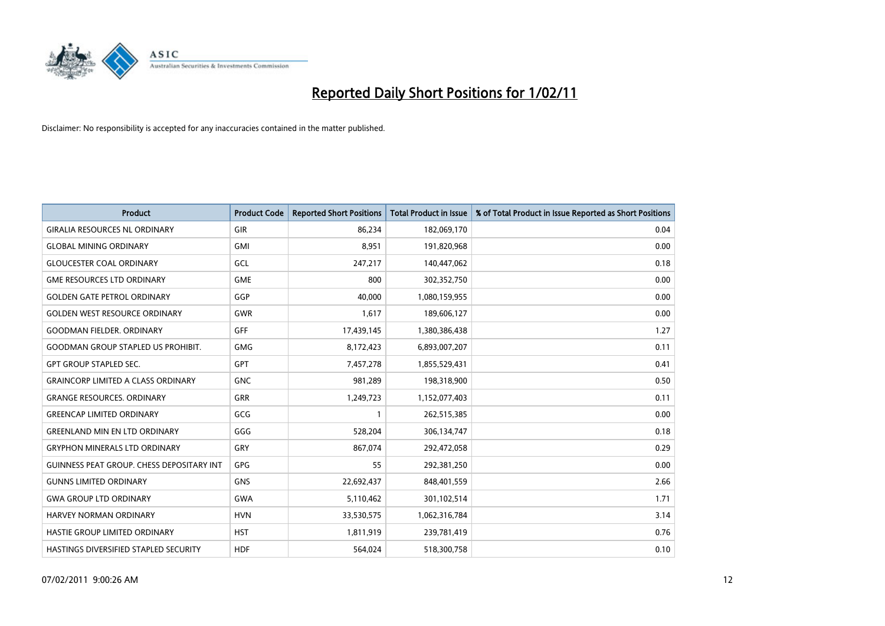

| <b>Product</b>                                   | <b>Product Code</b> | <b>Reported Short Positions</b> | <b>Total Product in Issue</b> | % of Total Product in Issue Reported as Short Positions |
|--------------------------------------------------|---------------------|---------------------------------|-------------------------------|---------------------------------------------------------|
| <b>GIRALIA RESOURCES NL ORDINARY</b>             | GIR                 | 86,234                          | 182,069,170                   | 0.04                                                    |
| <b>GLOBAL MINING ORDINARY</b>                    | GMI                 | 8.951                           | 191,820,968                   | 0.00                                                    |
| <b>GLOUCESTER COAL ORDINARY</b>                  | GCL                 | 247,217                         | 140,447,062                   | 0.18                                                    |
| <b>GME RESOURCES LTD ORDINARY</b>                | <b>GME</b>          | 800                             | 302,352,750                   | 0.00                                                    |
| <b>GOLDEN GATE PETROL ORDINARY</b>               | GGP                 | 40.000                          | 1,080,159,955                 | 0.00                                                    |
| <b>GOLDEN WEST RESOURCE ORDINARY</b>             | <b>GWR</b>          | 1,617                           | 189,606,127                   | 0.00                                                    |
| <b>GOODMAN FIELDER, ORDINARY</b>                 | <b>GFF</b>          | 17,439,145                      | 1,380,386,438                 | 1.27                                                    |
| <b>GOODMAN GROUP STAPLED US PROHIBIT.</b>        | <b>GMG</b>          | 8,172,423                       | 6,893,007,207                 | 0.11                                                    |
| <b>GPT GROUP STAPLED SEC.</b>                    | <b>GPT</b>          | 7,457,278                       | 1,855,529,431                 | 0.41                                                    |
| <b>GRAINCORP LIMITED A CLASS ORDINARY</b>        | <b>GNC</b>          | 981,289                         | 198,318,900                   | 0.50                                                    |
| <b>GRANGE RESOURCES. ORDINARY</b>                | <b>GRR</b>          | 1,249,723                       | 1,152,077,403                 | 0.11                                                    |
| <b>GREENCAP LIMITED ORDINARY</b>                 | GCG                 |                                 | 262,515,385                   | 0.00                                                    |
| <b>GREENLAND MIN EN LTD ORDINARY</b>             | GGG                 | 528,204                         | 306,134,747                   | 0.18                                                    |
| <b>GRYPHON MINERALS LTD ORDINARY</b>             | GRY                 | 867,074                         | 292,472,058                   | 0.29                                                    |
| <b>GUINNESS PEAT GROUP. CHESS DEPOSITARY INT</b> | <b>GPG</b>          | 55                              | 292,381,250                   | 0.00                                                    |
| <b>GUNNS LIMITED ORDINARY</b>                    | <b>GNS</b>          | 22,692,437                      | 848,401,559                   | 2.66                                                    |
| <b>GWA GROUP LTD ORDINARY</b>                    | <b>GWA</b>          | 5,110,462                       | 301,102,514                   | 1.71                                                    |
| HARVEY NORMAN ORDINARY                           | <b>HVN</b>          | 33,530,575                      | 1,062,316,784                 | 3.14                                                    |
| HASTIE GROUP LIMITED ORDINARY                    | <b>HST</b>          | 1,811,919                       | 239,781,419                   | 0.76                                                    |
| <b>HASTINGS DIVERSIFIED STAPLED SECURITY</b>     | <b>HDF</b>          | 564.024                         | 518,300,758                   | 0.10                                                    |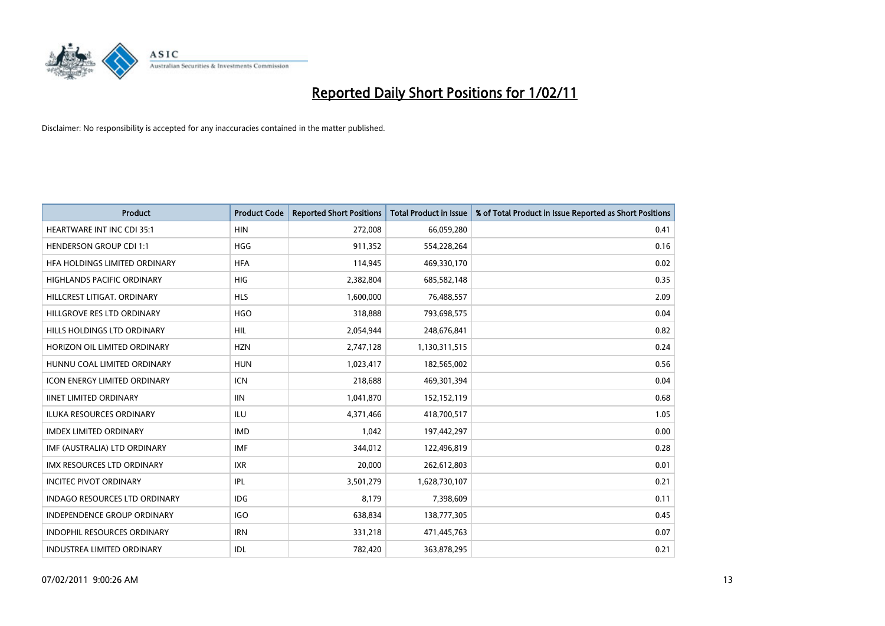

| <b>Product</b>                       | <b>Product Code</b> | <b>Reported Short Positions</b> | Total Product in Issue | % of Total Product in Issue Reported as Short Positions |
|--------------------------------------|---------------------|---------------------------------|------------------------|---------------------------------------------------------|
| <b>HEARTWARE INT INC CDI 35:1</b>    | <b>HIN</b>          | 272,008                         | 66,059,280             | 0.41                                                    |
| <b>HENDERSON GROUP CDI 1:1</b>       | <b>HGG</b>          | 911,352                         | 554,228,264            | 0.16                                                    |
| HFA HOLDINGS LIMITED ORDINARY        | <b>HFA</b>          | 114,945                         | 469,330,170            | 0.02                                                    |
| HIGHLANDS PACIFIC ORDINARY           | <b>HIG</b>          | 2,382,804                       | 685,582,148            | 0.35                                                    |
| HILLCREST LITIGAT, ORDINARY          | <b>HLS</b>          | 1,600,000                       | 76,488,557             | 2.09                                                    |
| HILLGROVE RES LTD ORDINARY           | <b>HGO</b>          | 318,888                         | 793,698,575            | 0.04                                                    |
| HILLS HOLDINGS LTD ORDINARY          | <b>HIL</b>          | 2,054,944                       | 248,676,841            | 0.82                                                    |
| HORIZON OIL LIMITED ORDINARY         | <b>HZN</b>          | 2,747,128                       | 1,130,311,515          | 0.24                                                    |
| HUNNU COAL LIMITED ORDINARY          | <b>HUN</b>          | 1,023,417                       | 182,565,002            | 0.56                                                    |
| <b>ICON ENERGY LIMITED ORDINARY</b>  | <b>ICN</b>          | 218,688                         | 469,301,394            | 0.04                                                    |
| <b>IINET LIMITED ORDINARY</b>        | <b>IIN</b>          | 1,041,870                       | 152,152,119            | 0.68                                                    |
| <b>ILUKA RESOURCES ORDINARY</b>      | ILU                 | 4,371,466                       | 418,700,517            | 1.05                                                    |
| <b>IMDEX LIMITED ORDINARY</b>        | <b>IMD</b>          | 1,042                           | 197,442,297            | 0.00                                                    |
| IMF (AUSTRALIA) LTD ORDINARY         | <b>IMF</b>          | 344,012                         | 122,496,819            | 0.28                                                    |
| <b>IMX RESOURCES LTD ORDINARY</b>    | <b>IXR</b>          | 20,000                          | 262,612,803            | 0.01                                                    |
| <b>INCITEC PIVOT ORDINARY</b>        | IPL                 | 3,501,279                       | 1,628,730,107          | 0.21                                                    |
| <b>INDAGO RESOURCES LTD ORDINARY</b> | IDG                 | 8,179                           | 7,398,609              | 0.11                                                    |
| INDEPENDENCE GROUP ORDINARY          | <b>IGO</b>          | 638,834                         | 138,777,305            | 0.45                                                    |
| <b>INDOPHIL RESOURCES ORDINARY</b>   | <b>IRN</b>          | 331,218                         | 471,445,763            | 0.07                                                    |
| INDUSTREA LIMITED ORDINARY           | IDL                 | 782,420                         | 363,878,295            | 0.21                                                    |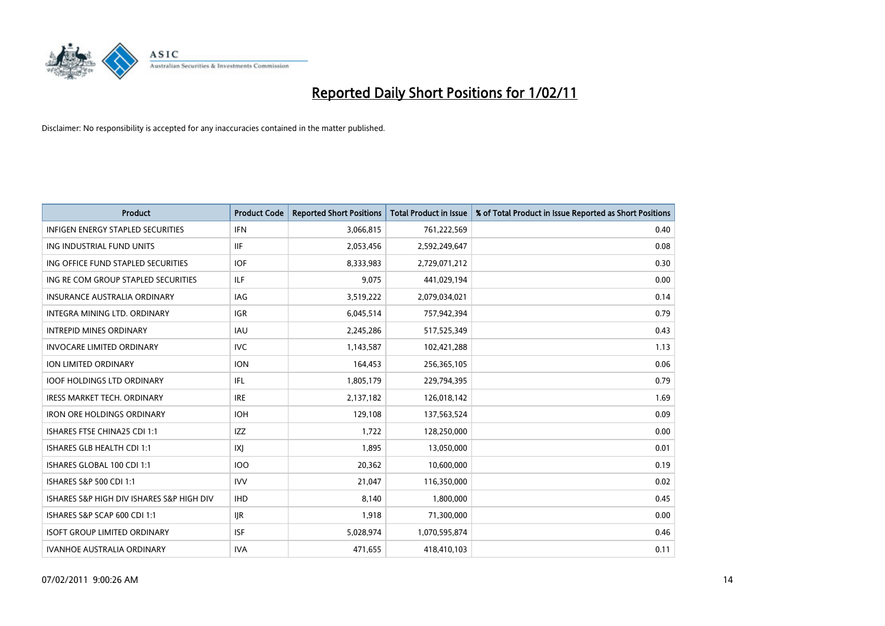

| <b>Product</b>                            | <b>Product Code</b> | <b>Reported Short Positions</b> | Total Product in Issue | % of Total Product in Issue Reported as Short Positions |
|-------------------------------------------|---------------------|---------------------------------|------------------------|---------------------------------------------------------|
| <b>INFIGEN ENERGY STAPLED SECURITIES</b>  | <b>IFN</b>          | 3,066,815                       | 761,222,569            | 0.40                                                    |
| ING INDUSTRIAL FUND UNITS                 | <b>IIF</b>          | 2,053,456                       | 2,592,249,647          | 0.08                                                    |
| ING OFFICE FUND STAPLED SECURITIES        | <b>IOF</b>          | 8,333,983                       | 2,729,071,212          | 0.30                                                    |
| ING RE COM GROUP STAPLED SECURITIES       | <b>ILF</b>          | 9,075                           | 441,029,194            | 0.00                                                    |
| <b>INSURANCE AUSTRALIA ORDINARY</b>       | IAG                 | 3,519,222                       | 2,079,034,021          | 0.14                                                    |
| <b>INTEGRA MINING LTD, ORDINARY</b>       | <b>IGR</b>          | 6,045,514                       | 757,942,394            | 0.79                                                    |
| <b>INTREPID MINES ORDINARY</b>            | <b>IAU</b>          | 2,245,286                       | 517,525,349            | 0.43                                                    |
| <b>INVOCARE LIMITED ORDINARY</b>          | <b>IVC</b>          | 1,143,587                       | 102,421,288            | 1.13                                                    |
| ION LIMITED ORDINARY                      | <b>ION</b>          | 164,453                         | 256,365,105            | 0.06                                                    |
| <b>IOOF HOLDINGS LTD ORDINARY</b>         | IFL.                | 1,805,179                       | 229,794,395            | 0.79                                                    |
| <b>IRESS MARKET TECH. ORDINARY</b>        | <b>IRE</b>          | 2,137,182                       | 126,018,142            | 1.69                                                    |
| <b>IRON ORE HOLDINGS ORDINARY</b>         | <b>IOH</b>          | 129,108                         | 137,563,524            | 0.09                                                    |
| ISHARES FTSE CHINA25 CDI 1:1              | <b>IZZ</b>          | 1.722                           | 128,250,000            | 0.00                                                    |
| ISHARES GLB HEALTH CDI 1:1                | X                   | 1,895                           | 13,050,000             | 0.01                                                    |
| ISHARES GLOBAL 100 CDI 1:1                | <b>IOO</b>          | 20,362                          | 10,600,000             | 0.19                                                    |
| ISHARES S&P 500 CDI 1:1                   | <b>IVV</b>          | 21,047                          | 116,350,000            | 0.02                                                    |
| ISHARES S&P HIGH DIV ISHARES S&P HIGH DIV | <b>IHD</b>          | 8,140                           | 1,800,000              | 0.45                                                    |
| ISHARES S&P SCAP 600 CDI 1:1              | <b>IJR</b>          | 1,918                           | 71,300,000             | 0.00                                                    |
| <b>ISOFT GROUP LIMITED ORDINARY</b>       | <b>ISF</b>          | 5,028,974                       | 1,070,595,874          | 0.46                                                    |
| <b>IVANHOE AUSTRALIA ORDINARY</b>         | <b>IVA</b>          | 471,655                         | 418,410,103            | 0.11                                                    |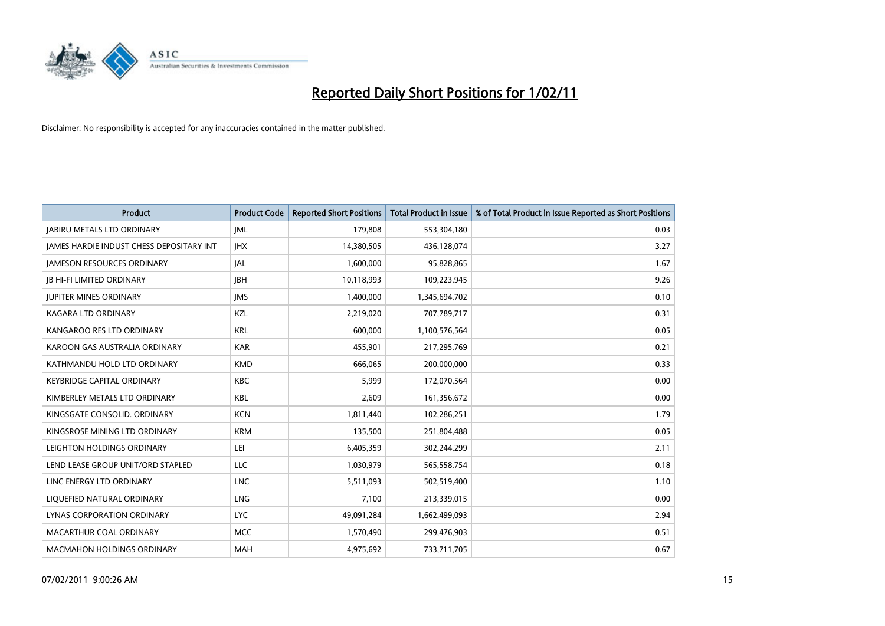

| Product                                         | <b>Product Code</b> | <b>Reported Short Positions</b> | Total Product in Issue | % of Total Product in Issue Reported as Short Positions |
|-------------------------------------------------|---------------------|---------------------------------|------------------------|---------------------------------------------------------|
| <b>JABIRU METALS LTD ORDINARY</b>               | <b>JML</b>          | 179,808                         | 553,304,180            | 0.03                                                    |
| <b>JAMES HARDIE INDUST CHESS DEPOSITARY INT</b> | <b>IHX</b>          | 14,380,505                      | 436,128,074            | 3.27                                                    |
| <b>JAMESON RESOURCES ORDINARY</b>               | <b>JAL</b>          | 1,600,000                       | 95,828,865             | 1.67                                                    |
| <b>JB HI-FI LIMITED ORDINARY</b>                | <b>IBH</b>          | 10,118,993                      | 109,223,945            | 9.26                                                    |
| <b>JUPITER MINES ORDINARY</b>                   | <b>IMS</b>          | 1,400,000                       | 1,345,694,702          | 0.10                                                    |
| <b>KAGARA LTD ORDINARY</b>                      | KZL                 | 2,219,020                       | 707,789,717            | 0.31                                                    |
| KANGAROO RES LTD ORDINARY                       | <b>KRL</b>          | 600,000                         | 1,100,576,564          | 0.05                                                    |
| KAROON GAS AUSTRALIA ORDINARY                   | <b>KAR</b>          | 455,901                         | 217,295,769            | 0.21                                                    |
| KATHMANDU HOLD LTD ORDINARY                     | <b>KMD</b>          | 666,065                         | 200,000,000            | 0.33                                                    |
| <b>KEYBRIDGE CAPITAL ORDINARY</b>               | <b>KBC</b>          | 5,999                           | 172,070,564            | 0.00                                                    |
| KIMBERLEY METALS LTD ORDINARY                   | KBL                 | 2,609                           | 161,356,672            | 0.00                                                    |
| KINGSGATE CONSOLID. ORDINARY                    | <b>KCN</b>          | 1,811,440                       | 102,286,251            | 1.79                                                    |
| KINGSROSE MINING LTD ORDINARY                   | <b>KRM</b>          | 135,500                         | 251,804,488            | 0.05                                                    |
| LEIGHTON HOLDINGS ORDINARY                      | LEI                 | 6,405,359                       | 302,244,299            | 2.11                                                    |
| LEND LEASE GROUP UNIT/ORD STAPLED               | <b>LLC</b>          | 1,030,979                       | 565,558,754            | 0.18                                                    |
| LINC ENERGY LTD ORDINARY                        | <b>LNC</b>          | 5,511,093                       | 502,519,400            | 1.10                                                    |
| LIQUEFIED NATURAL ORDINARY                      | <b>LNG</b>          | 7,100                           | 213,339,015            | 0.00                                                    |
| LYNAS CORPORATION ORDINARY                      | <b>LYC</b>          | 49,091,284                      | 1,662,499,093          | 2.94                                                    |
| MACARTHUR COAL ORDINARY                         | <b>MCC</b>          | 1,570,490                       | 299,476,903            | 0.51                                                    |
| <b>MACMAHON HOLDINGS ORDINARY</b>               | <b>MAH</b>          | 4,975,692                       | 733,711,705            | 0.67                                                    |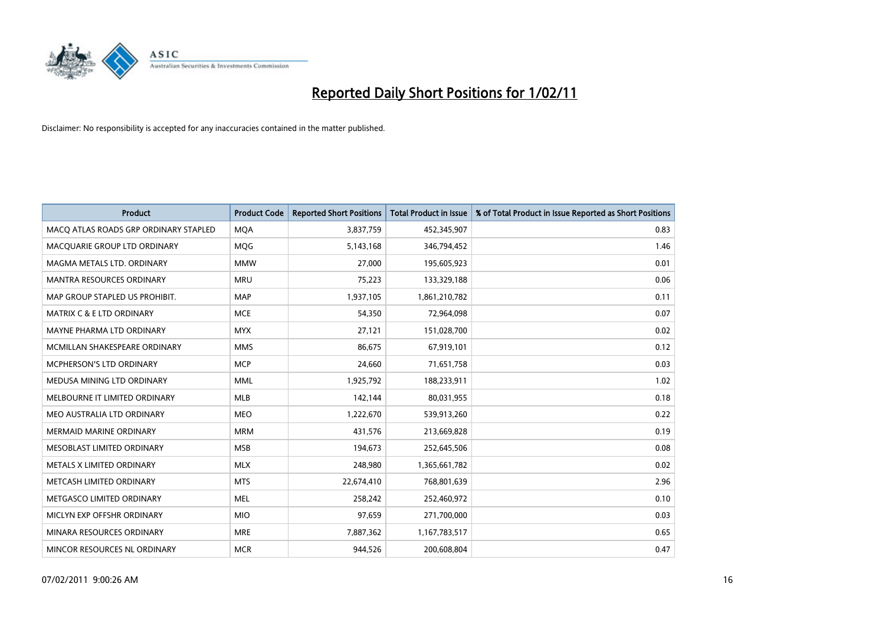

| Product                               | <b>Product Code</b> | <b>Reported Short Positions</b> | <b>Total Product in Issue</b> | % of Total Product in Issue Reported as Short Positions |
|---------------------------------------|---------------------|---------------------------------|-------------------------------|---------------------------------------------------------|
| MACO ATLAS ROADS GRP ORDINARY STAPLED | <b>MQA</b>          | 3,837,759                       | 452,345,907                   | 0.83                                                    |
| MACQUARIE GROUP LTD ORDINARY          | <b>MOG</b>          | 5,143,168                       | 346,794,452                   | 1.46                                                    |
| MAGMA METALS LTD. ORDINARY            | <b>MMW</b>          | 27,000                          | 195,605,923                   | 0.01                                                    |
| MANTRA RESOURCES ORDINARY             | <b>MRU</b>          | 75,223                          | 133,329,188                   | 0.06                                                    |
| MAP GROUP STAPLED US PROHIBIT.        | <b>MAP</b>          | 1,937,105                       | 1,861,210,782                 | 0.11                                                    |
| <b>MATRIX C &amp; E LTD ORDINARY</b>  | <b>MCE</b>          | 54,350                          | 72,964,098                    | 0.07                                                    |
| MAYNE PHARMA LTD ORDINARY             | <b>MYX</b>          | 27,121                          | 151,028,700                   | 0.02                                                    |
| MCMILLAN SHAKESPEARE ORDINARY         | <b>MMS</b>          | 86,675                          | 67,919,101                    | 0.12                                                    |
| MCPHERSON'S LTD ORDINARY              | <b>MCP</b>          | 24,660                          | 71,651,758                    | 0.03                                                    |
| MEDUSA MINING LTD ORDINARY            | <b>MML</b>          | 1,925,792                       | 188,233,911                   | 1.02                                                    |
| MELBOURNE IT LIMITED ORDINARY         | <b>MLB</b>          | 142,144                         | 80,031,955                    | 0.18                                                    |
| MEO AUSTRALIA LTD ORDINARY            | <b>MEO</b>          | 1,222,670                       | 539,913,260                   | 0.22                                                    |
| <b>MERMAID MARINE ORDINARY</b>        | <b>MRM</b>          | 431,576                         | 213,669,828                   | 0.19                                                    |
| MESOBLAST LIMITED ORDINARY            | <b>MSB</b>          | 194,673                         | 252,645,506                   | 0.08                                                    |
| METALS X LIMITED ORDINARY             | <b>MLX</b>          | 248,980                         | 1,365,661,782                 | 0.02                                                    |
| METCASH LIMITED ORDINARY              | <b>MTS</b>          | 22,674,410                      | 768,801,639                   | 2.96                                                    |
| METGASCO LIMITED ORDINARY             | <b>MEL</b>          | 258,242                         | 252,460,972                   | 0.10                                                    |
| MICLYN EXP OFFSHR ORDINARY            | <b>MIO</b>          | 97,659                          | 271,700,000                   | 0.03                                                    |
| MINARA RESOURCES ORDINARY             | <b>MRE</b>          | 7,887,362                       | 1,167,783,517                 | 0.65                                                    |
| MINCOR RESOURCES NL ORDINARY          | <b>MCR</b>          | 944,526                         | 200,608,804                   | 0.47                                                    |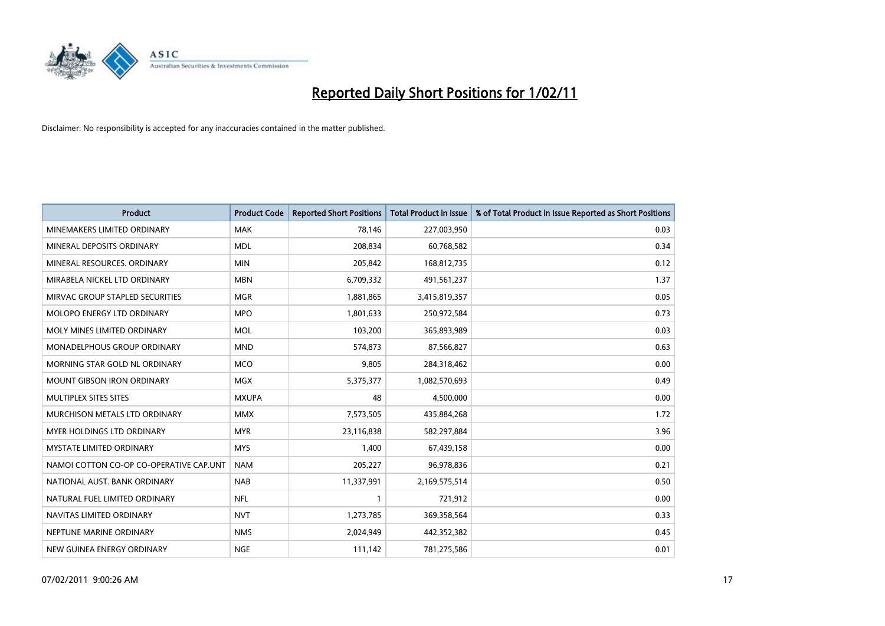

| Product                                 | <b>Product Code</b> | <b>Reported Short Positions</b> | <b>Total Product in Issue</b> | % of Total Product in Issue Reported as Short Positions |
|-----------------------------------------|---------------------|---------------------------------|-------------------------------|---------------------------------------------------------|
| MINEMAKERS LIMITED ORDINARY             | <b>MAK</b>          | 78,146                          | 227,003,950                   | 0.03                                                    |
| MINERAL DEPOSITS ORDINARY               | <b>MDL</b>          | 208,834                         | 60,768,582                    | 0.34                                                    |
| MINERAL RESOURCES, ORDINARY             | <b>MIN</b>          | 205,842                         | 168,812,735                   | 0.12                                                    |
| MIRABELA NICKEL LTD ORDINARY            | <b>MBN</b>          | 6,709,332                       | 491,561,237                   | 1.37                                                    |
| MIRVAC GROUP STAPLED SECURITIES         | <b>MGR</b>          | 1,881,865                       | 3,415,819,357                 | 0.05                                                    |
| MOLOPO ENERGY LTD ORDINARY              | <b>MPO</b>          | 1,801,633                       | 250,972,584                   | 0.73                                                    |
| MOLY MINES LIMITED ORDINARY             | <b>MOL</b>          | 103,200                         | 365,893,989                   | 0.03                                                    |
| MONADELPHOUS GROUP ORDINARY             | <b>MND</b>          | 574,873                         | 87,566,827                    | 0.63                                                    |
| MORNING STAR GOLD NL ORDINARY           | <b>MCO</b>          | 9,805                           | 284,318,462                   | 0.00                                                    |
| <b>MOUNT GIBSON IRON ORDINARY</b>       | <b>MGX</b>          | 5,375,377                       | 1,082,570,693                 | 0.49                                                    |
| MULTIPLEX SITES SITES                   | <b>MXUPA</b>        | 48                              | 4,500,000                     | 0.00                                                    |
| MURCHISON METALS LTD ORDINARY           | <b>MMX</b>          | 7,573,505                       | 435,884,268                   | 1.72                                                    |
| <b>MYER HOLDINGS LTD ORDINARY</b>       | <b>MYR</b>          | 23,116,838                      | 582,297,884                   | 3.96                                                    |
| <b>MYSTATE LIMITED ORDINARY</b>         | <b>MYS</b>          | 1,400                           | 67,439,158                    | 0.00                                                    |
| NAMOI COTTON CO-OP CO-OPERATIVE CAP.UNT | <b>NAM</b>          | 205,227                         | 96,978,836                    | 0.21                                                    |
| NATIONAL AUST. BANK ORDINARY            | <b>NAB</b>          | 11,337,991                      | 2,169,575,514                 | 0.50                                                    |
| NATURAL FUEL LIMITED ORDINARY           | <b>NFL</b>          |                                 | 721,912                       | 0.00                                                    |
| NAVITAS LIMITED ORDINARY                | <b>NVT</b>          | 1,273,785                       | 369,358,564                   | 0.33                                                    |
| NEPTUNE MARINE ORDINARY                 | <b>NMS</b>          | 2,024,949                       | 442,352,382                   | 0.45                                                    |
| NEW GUINEA ENERGY ORDINARY              | <b>NGE</b>          | 111,142                         | 781,275,586                   | 0.01                                                    |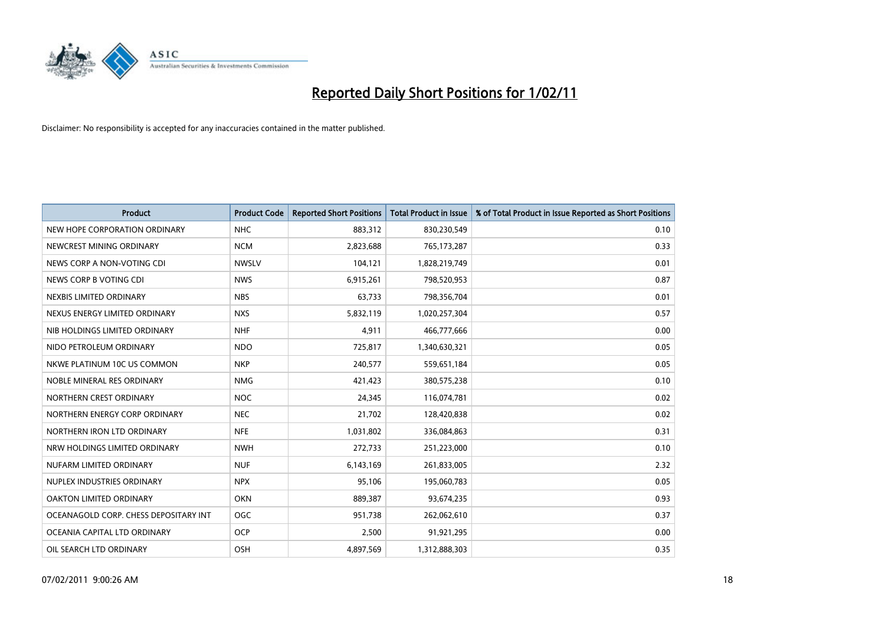

| <b>Product</b>                        | <b>Product Code</b> | <b>Reported Short Positions</b> | Total Product in Issue | % of Total Product in Issue Reported as Short Positions |
|---------------------------------------|---------------------|---------------------------------|------------------------|---------------------------------------------------------|
| NEW HOPE CORPORATION ORDINARY         | <b>NHC</b>          | 883,312                         | 830,230,549            | 0.10                                                    |
| NEWCREST MINING ORDINARY              | <b>NCM</b>          | 2,823,688                       | 765,173,287            | 0.33                                                    |
| NEWS CORP A NON-VOTING CDI            | <b>NWSLV</b>        | 104,121                         | 1,828,219,749          | 0.01                                                    |
| NEWS CORP B VOTING CDI                | <b>NWS</b>          | 6,915,261                       | 798,520,953            | 0.87                                                    |
| NEXBIS LIMITED ORDINARY               | <b>NBS</b>          | 63,733                          | 798,356,704            | 0.01                                                    |
| NEXUS ENERGY LIMITED ORDINARY         | <b>NXS</b>          | 5,832,119                       | 1,020,257,304          | 0.57                                                    |
| NIB HOLDINGS LIMITED ORDINARY         | <b>NHF</b>          | 4,911                           | 466,777,666            | 0.00                                                    |
| NIDO PETROLEUM ORDINARY               | <b>NDO</b>          | 725,817                         | 1,340,630,321          | 0.05                                                    |
| NKWE PLATINUM 10C US COMMON           | <b>NKP</b>          | 240,577                         | 559,651,184            | 0.05                                                    |
| NOBLE MINERAL RES ORDINARY            | <b>NMG</b>          | 421,423                         | 380,575,238            | 0.10                                                    |
| NORTHERN CREST ORDINARY               | <b>NOC</b>          | 24,345                          | 116,074,781            | 0.02                                                    |
| NORTHERN ENERGY CORP ORDINARY         | <b>NEC</b>          | 21,702                          | 128,420,838            | 0.02                                                    |
| NORTHERN IRON LTD ORDINARY            | <b>NFE</b>          | 1,031,802                       | 336,084,863            | 0.31                                                    |
| NRW HOLDINGS LIMITED ORDINARY         | <b>NWH</b>          | 272,733                         | 251,223,000            | 0.10                                                    |
| NUFARM LIMITED ORDINARY               | <b>NUF</b>          | 6,143,169                       | 261,833,005            | 2.32                                                    |
| NUPLEX INDUSTRIES ORDINARY            | <b>NPX</b>          | 95,106                          | 195,060,783            | 0.05                                                    |
| OAKTON LIMITED ORDINARY               | <b>OKN</b>          | 889,387                         | 93,674,235             | 0.93                                                    |
| OCEANAGOLD CORP. CHESS DEPOSITARY INT | <b>OGC</b>          | 951,738                         | 262,062,610            | 0.37                                                    |
| OCEANIA CAPITAL LTD ORDINARY          | <b>OCP</b>          | 2,500                           | 91,921,295             | 0.00                                                    |
| OIL SEARCH LTD ORDINARY               | <b>OSH</b>          | 4.897.569                       | 1,312,888,303          | 0.35                                                    |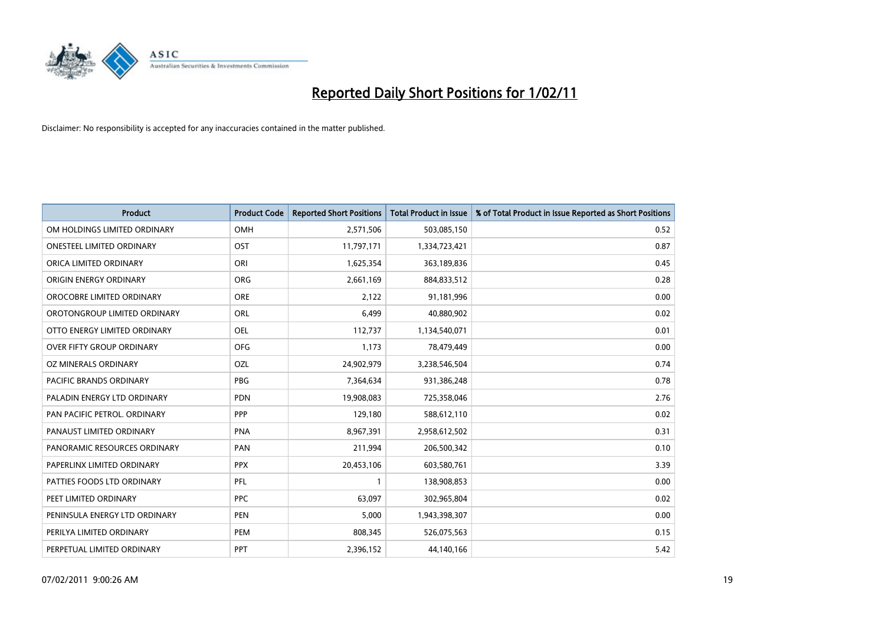

| <b>Product</b>                   | <b>Product Code</b> | <b>Reported Short Positions</b> | Total Product in Issue | % of Total Product in Issue Reported as Short Positions |
|----------------------------------|---------------------|---------------------------------|------------------------|---------------------------------------------------------|
| OM HOLDINGS LIMITED ORDINARY     | OMH                 | 2,571,506                       | 503,085,150            | 0.52                                                    |
| <b>ONESTEEL LIMITED ORDINARY</b> | OST                 | 11,797,171                      | 1,334,723,421          | 0.87                                                    |
| ORICA LIMITED ORDINARY           | ORI                 | 1,625,354                       | 363,189,836            | 0.45                                                    |
| ORIGIN ENERGY ORDINARY           | <b>ORG</b>          | 2,661,169                       | 884,833,512            | 0.28                                                    |
| OROCOBRE LIMITED ORDINARY        | <b>ORE</b>          | 2,122                           | 91,181,996             | 0.00                                                    |
| OROTONGROUP LIMITED ORDINARY     | <b>ORL</b>          | 6,499                           | 40,880,902             | 0.02                                                    |
| OTTO ENERGY LIMITED ORDINARY     | <b>OEL</b>          | 112,737                         | 1,134,540,071          | 0.01                                                    |
| <b>OVER FIFTY GROUP ORDINARY</b> | <b>OFG</b>          | 1,173                           | 78,479,449             | 0.00                                                    |
| OZ MINERALS ORDINARY             | OZL                 | 24,902,979                      | 3,238,546,504          | 0.74                                                    |
| <b>PACIFIC BRANDS ORDINARY</b>   | <b>PBG</b>          | 7,364,634                       | 931,386,248            | 0.78                                                    |
| PALADIN ENERGY LTD ORDINARY      | <b>PDN</b>          | 19,908,083                      | 725,358,046            | 2.76                                                    |
| PAN PACIFIC PETROL. ORDINARY     | <b>PPP</b>          | 129,180                         | 588,612,110            | 0.02                                                    |
| PANAUST LIMITED ORDINARY         | <b>PNA</b>          | 8.967.391                       | 2,958,612,502          | 0.31                                                    |
| PANORAMIC RESOURCES ORDINARY     | PAN                 | 211.994                         | 206,500,342            | 0.10                                                    |
| PAPERLINX LIMITED ORDINARY       | <b>PPX</b>          | 20,453,106                      | 603,580,761            | 3.39                                                    |
| PATTIES FOODS LTD ORDINARY       | PFL                 |                                 | 138,908,853            | 0.00                                                    |
| PEET LIMITED ORDINARY            | <b>PPC</b>          | 63,097                          | 302,965,804            | 0.02                                                    |
| PENINSULA ENERGY LTD ORDINARY    | <b>PEN</b>          | 5,000                           | 1,943,398,307          | 0.00                                                    |
| PERILYA LIMITED ORDINARY         | PEM                 | 808,345                         | 526,075,563            | 0.15                                                    |
| PERPETUAL LIMITED ORDINARY       | PPT                 | 2,396,152                       | 44,140,166             | 5.42                                                    |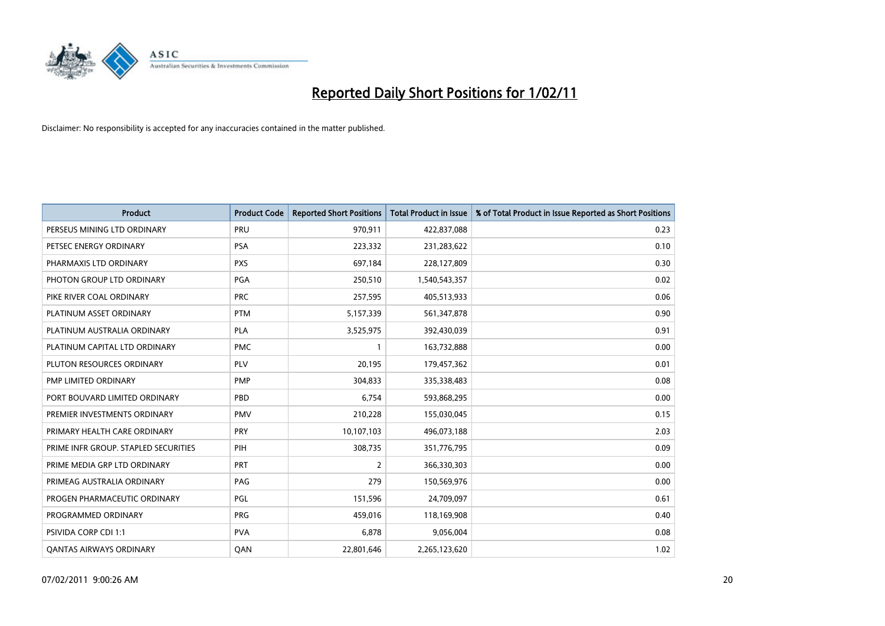

| Product                              | <b>Product Code</b> | <b>Reported Short Positions</b> | Total Product in Issue | % of Total Product in Issue Reported as Short Positions |
|--------------------------------------|---------------------|---------------------------------|------------------------|---------------------------------------------------------|
| PERSEUS MINING LTD ORDINARY          | PRU                 | 970,911                         | 422,837,088            | 0.23                                                    |
| PETSEC ENERGY ORDINARY               | <b>PSA</b>          | 223,332                         | 231,283,622            | 0.10                                                    |
| PHARMAXIS LTD ORDINARY               | <b>PXS</b>          | 697,184                         | 228,127,809            | 0.30                                                    |
| PHOTON GROUP LTD ORDINARY            | PGA                 | 250,510                         | 1,540,543,357          | 0.02                                                    |
| PIKE RIVER COAL ORDINARY             | <b>PRC</b>          | 257,595                         | 405,513,933            | 0.06                                                    |
| PLATINUM ASSET ORDINARY              | <b>PTM</b>          | 5,157,339                       | 561,347,878            | 0.90                                                    |
| PLATINUM AUSTRALIA ORDINARY          | <b>PLA</b>          | 3,525,975                       | 392,430,039            | 0.91                                                    |
| PLATINUM CAPITAL LTD ORDINARY        | <b>PMC</b>          |                                 | 163,732,888            | 0.00                                                    |
| PLUTON RESOURCES ORDINARY            | PLV                 | 20,195                          | 179,457,362            | 0.01                                                    |
| PMP LIMITED ORDINARY                 | <b>PMP</b>          | 304,833                         | 335,338,483            | 0.08                                                    |
| PORT BOUVARD LIMITED ORDINARY        | PBD                 | 6,754                           | 593,868,295            | 0.00                                                    |
| PREMIER INVESTMENTS ORDINARY         | <b>PMV</b>          | 210,228                         | 155,030,045            | 0.15                                                    |
| PRIMARY HEALTH CARE ORDINARY         | PRY                 | 10,107,103                      | 496,073,188            | 2.03                                                    |
| PRIME INFR GROUP. STAPLED SECURITIES | PIH                 | 308,735                         | 351,776,795            | 0.09                                                    |
| PRIME MEDIA GRP LTD ORDINARY         | <b>PRT</b>          | 2                               | 366,330,303            | 0.00                                                    |
| PRIMEAG AUSTRALIA ORDINARY           | PAG                 | 279                             | 150,569,976            | 0.00                                                    |
| PROGEN PHARMACEUTIC ORDINARY         | PGL                 | 151,596                         | 24,709,097             | 0.61                                                    |
| PROGRAMMED ORDINARY                  | <b>PRG</b>          | 459,016                         | 118,169,908            | 0.40                                                    |
| <b>PSIVIDA CORP CDI 1:1</b>          | <b>PVA</b>          | 6,878                           | 9,056,004              | 0.08                                                    |
| <b>OANTAS AIRWAYS ORDINARY</b>       | QAN                 | 22,801,646                      | 2,265,123,620          | 1.02                                                    |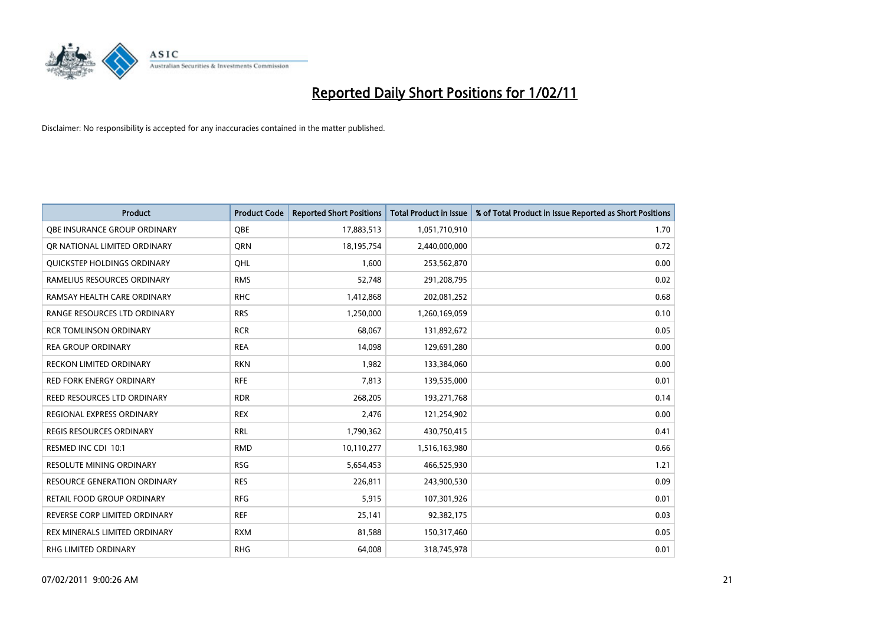

| <b>Product</b>                      | <b>Product Code</b> | <b>Reported Short Positions</b> | <b>Total Product in Issue</b> | % of Total Product in Issue Reported as Short Positions |
|-------------------------------------|---------------------|---------------------------------|-------------------------------|---------------------------------------------------------|
| OBE INSURANCE GROUP ORDINARY        | <b>OBE</b>          | 17,883,513                      | 1,051,710,910                 | 1.70                                                    |
| OR NATIONAL LIMITED ORDINARY        | <b>ORN</b>          | 18,195,754                      | 2,440,000,000                 | 0.72                                                    |
| <b>OUICKSTEP HOLDINGS ORDINARY</b>  | OHL                 | 1,600                           | 253,562,870                   | 0.00                                                    |
| RAMELIUS RESOURCES ORDINARY         | <b>RMS</b>          | 52,748                          | 291,208,795                   | 0.02                                                    |
| RAMSAY HEALTH CARE ORDINARY         | <b>RHC</b>          | 1,412,868                       | 202,081,252                   | 0.68                                                    |
| RANGE RESOURCES LTD ORDINARY        | <b>RRS</b>          | 1,250,000                       | 1,260,169,059                 | 0.10                                                    |
| <b>RCR TOMLINSON ORDINARY</b>       | <b>RCR</b>          | 68,067                          | 131,892,672                   | 0.05                                                    |
| <b>REA GROUP ORDINARY</b>           | <b>REA</b>          | 14,098                          | 129,691,280                   | 0.00                                                    |
| RECKON LIMITED ORDINARY             | <b>RKN</b>          | 1,982                           | 133,384,060                   | 0.00                                                    |
| <b>RED FORK ENERGY ORDINARY</b>     | <b>RFE</b>          | 7,813                           | 139,535,000                   | 0.01                                                    |
| REED RESOURCES LTD ORDINARY         | <b>RDR</b>          | 268,205                         | 193,271,768                   | 0.14                                                    |
| REGIONAL EXPRESS ORDINARY           | <b>REX</b>          | 2,476                           | 121,254,902                   | 0.00                                                    |
| <b>REGIS RESOURCES ORDINARY</b>     | <b>RRL</b>          | 1,790,362                       | 430,750,415                   | 0.41                                                    |
| RESMED INC CDI 10:1                 | <b>RMD</b>          | 10,110,277                      | 1,516,163,980                 | 0.66                                                    |
| <b>RESOLUTE MINING ORDINARY</b>     | <b>RSG</b>          | 5,654,453                       | 466,525,930                   | 1.21                                                    |
| <b>RESOURCE GENERATION ORDINARY</b> | <b>RES</b>          | 226,811                         | 243,900,530                   | 0.09                                                    |
| RETAIL FOOD GROUP ORDINARY          | <b>RFG</b>          | 5,915                           | 107,301,926                   | 0.01                                                    |
| REVERSE CORP LIMITED ORDINARY       | <b>REF</b>          | 25,141                          | 92,382,175                    | 0.03                                                    |
| REX MINERALS LIMITED ORDINARY       | <b>RXM</b>          | 81,588                          | 150,317,460                   | 0.05                                                    |
| RHG LIMITED ORDINARY                | <b>RHG</b>          | 64,008                          | 318,745,978                   | 0.01                                                    |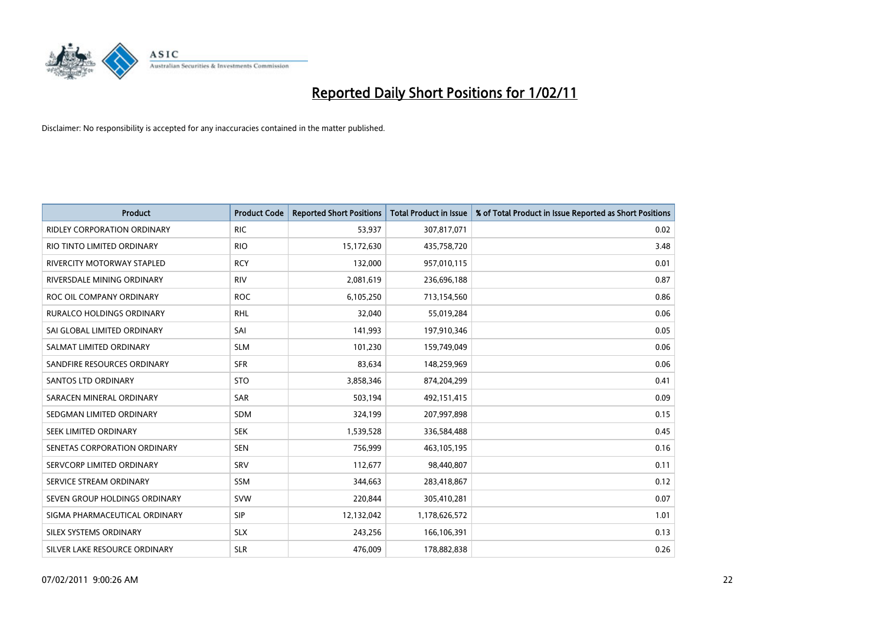

| <b>Product</b>                     | <b>Product Code</b> | <b>Reported Short Positions</b> | Total Product in Issue | % of Total Product in Issue Reported as Short Positions |
|------------------------------------|---------------------|---------------------------------|------------------------|---------------------------------------------------------|
| <b>RIDLEY CORPORATION ORDINARY</b> | <b>RIC</b>          | 53,937                          | 307,817,071            | 0.02                                                    |
| RIO TINTO LIMITED ORDINARY         | <b>RIO</b>          | 15,172,630                      | 435,758,720            | 3.48                                                    |
| RIVERCITY MOTORWAY STAPLED         | <b>RCY</b>          | 132,000                         | 957,010,115            | 0.01                                                    |
| RIVERSDALE MINING ORDINARY         | <b>RIV</b>          | 2,081,619                       | 236,696,188            | 0.87                                                    |
| ROC OIL COMPANY ORDINARY           | <b>ROC</b>          | 6,105,250                       | 713,154,560            | 0.86                                                    |
| <b>RURALCO HOLDINGS ORDINARY</b>   | <b>RHL</b>          | 32,040                          | 55,019,284             | 0.06                                                    |
| SAI GLOBAL LIMITED ORDINARY        | SAI                 | 141,993                         | 197,910,346            | 0.05                                                    |
| SALMAT LIMITED ORDINARY            | <b>SLM</b>          | 101,230                         | 159,749,049            | 0.06                                                    |
| SANDFIRE RESOURCES ORDINARY        | <b>SFR</b>          | 83,634                          | 148,259,969            | 0.06                                                    |
| SANTOS LTD ORDINARY                | <b>STO</b>          | 3,858,346                       | 874,204,299            | 0.41                                                    |
| SARACEN MINERAL ORDINARY           | <b>SAR</b>          | 503,194                         | 492,151,415            | 0.09                                                    |
| SEDGMAN LIMITED ORDINARY           | <b>SDM</b>          | 324,199                         | 207,997,898            | 0.15                                                    |
| SEEK LIMITED ORDINARY              | <b>SEK</b>          | 1,539,528                       | 336,584,488            | 0.45                                                    |
| SENETAS CORPORATION ORDINARY       | <b>SEN</b>          | 756,999                         | 463,105,195            | 0.16                                                    |
| SERVCORP LIMITED ORDINARY          | SRV                 | 112,677                         | 98,440,807             | 0.11                                                    |
| SERVICE STREAM ORDINARY            | <b>SSM</b>          | 344.663                         | 283,418,867            | 0.12                                                    |
| SEVEN GROUP HOLDINGS ORDINARY      | <b>SVW</b>          | 220,844                         | 305,410,281            | 0.07                                                    |
| SIGMA PHARMACEUTICAL ORDINARY      | <b>SIP</b>          | 12,132,042                      | 1,178,626,572          | 1.01                                                    |
| SILEX SYSTEMS ORDINARY             | <b>SLX</b>          | 243,256                         | 166,106,391            | 0.13                                                    |
| SILVER LAKE RESOURCE ORDINARY      | <b>SLR</b>          | 476,009                         | 178,882,838            | 0.26                                                    |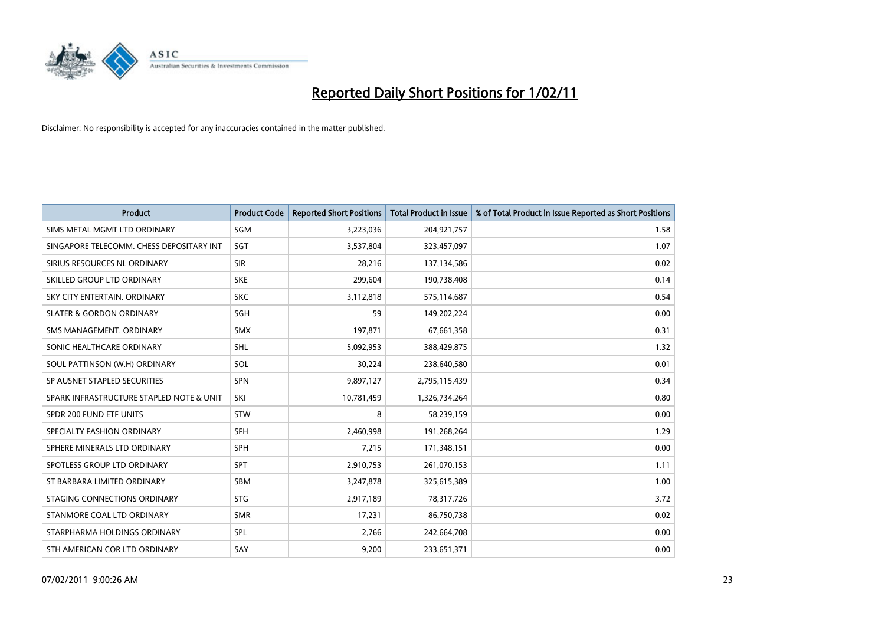

| <b>Product</b>                           | <b>Product Code</b> | <b>Reported Short Positions</b> | Total Product in Issue | % of Total Product in Issue Reported as Short Positions |
|------------------------------------------|---------------------|---------------------------------|------------------------|---------------------------------------------------------|
| SIMS METAL MGMT LTD ORDINARY             | SGM                 | 3,223,036                       | 204,921,757            | 1.58                                                    |
| SINGAPORE TELECOMM. CHESS DEPOSITARY INT | SGT                 | 3,537,804                       | 323,457,097            | 1.07                                                    |
| SIRIUS RESOURCES NL ORDINARY             | <b>SIR</b>          | 28,216                          | 137,134,586            | 0.02                                                    |
| SKILLED GROUP LTD ORDINARY               | <b>SKE</b>          | 299,604                         | 190,738,408            | 0.14                                                    |
| SKY CITY ENTERTAIN, ORDINARY             | <b>SKC</b>          | 3,112,818                       | 575,114,687            | 0.54                                                    |
| <b>SLATER &amp; GORDON ORDINARY</b>      | SGH                 | 59                              | 149,202,224            | 0.00                                                    |
| SMS MANAGEMENT, ORDINARY                 | <b>SMX</b>          | 197,871                         | 67,661,358             | 0.31                                                    |
| SONIC HEALTHCARE ORDINARY                | <b>SHL</b>          | 5,092,953                       | 388,429,875            | 1.32                                                    |
| SOUL PATTINSON (W.H) ORDINARY            | SOL                 | 30,224                          | 238,640,580            | 0.01                                                    |
| SP AUSNET STAPLED SECURITIES             | <b>SPN</b>          | 9,897,127                       | 2,795,115,439          | 0.34                                                    |
| SPARK INFRASTRUCTURE STAPLED NOTE & UNIT | SKI                 | 10,781,459                      | 1,326,734,264          | 0.80                                                    |
| SPDR 200 FUND ETF UNITS                  | <b>STW</b>          | 8                               | 58,239,159             | 0.00                                                    |
| SPECIALTY FASHION ORDINARY               | <b>SFH</b>          | 2,460,998                       | 191,268,264            | 1.29                                                    |
| SPHERE MINERALS LTD ORDINARY             | <b>SPH</b>          | 7,215                           | 171,348,151            | 0.00                                                    |
| SPOTLESS GROUP LTD ORDINARY              | <b>SPT</b>          | 2,910,753                       | 261,070,153            | 1.11                                                    |
| ST BARBARA LIMITED ORDINARY              | <b>SBM</b>          | 3,247,878                       | 325,615,389            | 1.00                                                    |
| STAGING CONNECTIONS ORDINARY             | <b>STG</b>          | 2,917,189                       | 78,317,726             | 3.72                                                    |
| STANMORE COAL LTD ORDINARY               | <b>SMR</b>          | 17,231                          | 86,750,738             | 0.02                                                    |
| STARPHARMA HOLDINGS ORDINARY             | SPL                 | 2,766                           | 242,664,708            | 0.00                                                    |
| STH AMERICAN COR LTD ORDINARY            | SAY                 | 9,200                           | 233,651,371            | 0.00                                                    |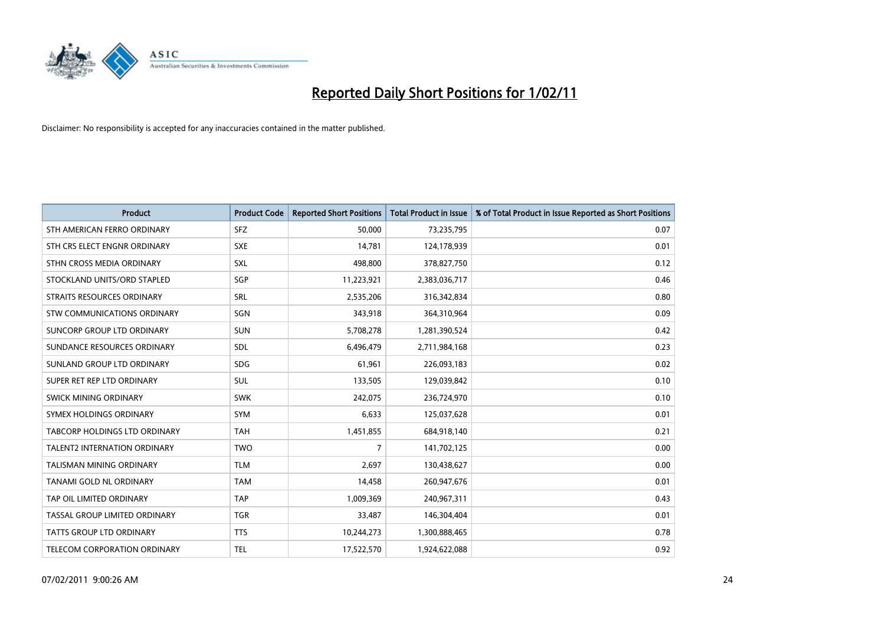

| <b>Product</b>                       | <b>Product Code</b> | <b>Reported Short Positions</b> | Total Product in Issue | % of Total Product in Issue Reported as Short Positions |
|--------------------------------------|---------------------|---------------------------------|------------------------|---------------------------------------------------------|
| STH AMERICAN FERRO ORDINARY          | <b>SFZ</b>          | 50,000                          | 73,235,795             | 0.07                                                    |
| STH CRS ELECT ENGNR ORDINARY         | <b>SXE</b>          | 14.781                          | 124,178,939            | 0.01                                                    |
| STHN CROSS MEDIA ORDINARY            | <b>SXL</b>          | 498,800                         | 378,827,750            | 0.12                                                    |
| STOCKLAND UNITS/ORD STAPLED          | SGP                 | 11,223,921                      | 2,383,036,717          | 0.46                                                    |
| STRAITS RESOURCES ORDINARY           | SRL                 | 2,535,206                       | 316,342,834            | 0.80                                                    |
| STW COMMUNICATIONS ORDINARY          | SGN                 | 343,918                         | 364,310,964            | 0.09                                                    |
| SUNCORP GROUP LTD ORDINARY           | <b>SUN</b>          | 5,708,278                       | 1,281,390,524          | 0.42                                                    |
| SUNDANCE RESOURCES ORDINARY          | SDL                 | 6,496,479                       | 2,711,984,168          | 0.23                                                    |
| SUNLAND GROUP LTD ORDINARY           | <b>SDG</b>          | 61,961                          | 226,093,183            | 0.02                                                    |
| SUPER RET REP LTD ORDINARY           | <b>SUL</b>          | 133,505                         | 129,039,842            | 0.10                                                    |
| <b>SWICK MINING ORDINARY</b>         | <b>SWK</b>          | 242,075                         | 236,724,970            | 0.10                                                    |
| <b>SYMEX HOLDINGS ORDINARY</b>       | <b>SYM</b>          | 6,633                           | 125,037,628            | 0.01                                                    |
| <b>TABCORP HOLDINGS LTD ORDINARY</b> | <b>TAH</b>          | 1,451,855                       | 684,918,140            | 0.21                                                    |
| <b>TALENT2 INTERNATION ORDINARY</b>  | <b>TWO</b>          | 7                               | 141,702,125            | 0.00                                                    |
| TALISMAN MINING ORDINARY             | <b>TLM</b>          | 2,697                           | 130,438,627            | 0.00                                                    |
| <b>TANAMI GOLD NL ORDINARY</b>       | <b>TAM</b>          | 14,458                          | 260,947,676            | 0.01                                                    |
| TAP OIL LIMITED ORDINARY             | <b>TAP</b>          | 1,009,369                       | 240,967,311            | 0.43                                                    |
| TASSAL GROUP LIMITED ORDINARY        | <b>TGR</b>          | 33,487                          | 146,304,404            | 0.01                                                    |
| <b>TATTS GROUP LTD ORDINARY</b>      | <b>TTS</b>          | 10,244,273                      | 1,300,888,465          | 0.78                                                    |
| TELECOM CORPORATION ORDINARY         | <b>TEL</b>          | 17.522.570                      | 1,924,622,088          | 0.92                                                    |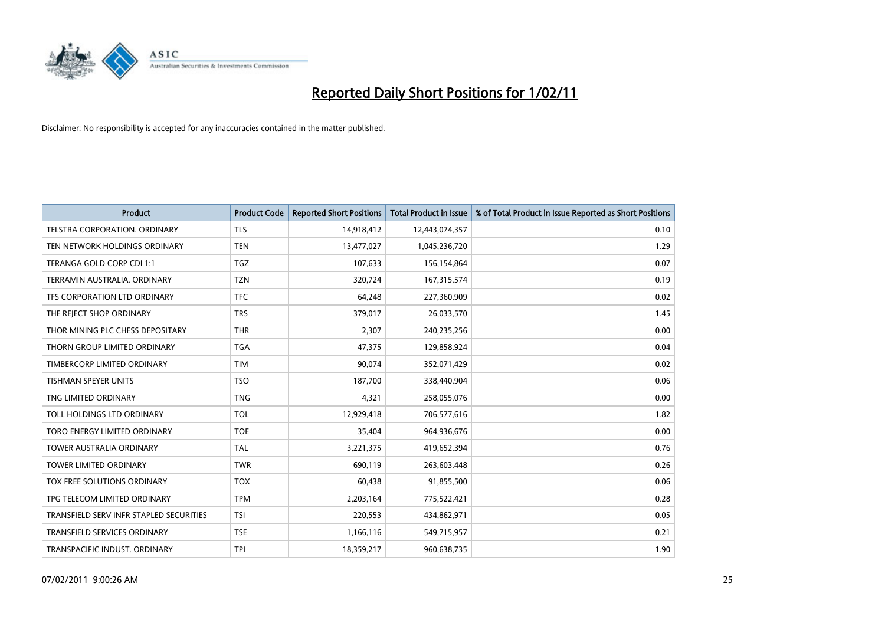

| <b>Product</b>                          | <b>Product Code</b> | <b>Reported Short Positions</b> | Total Product in Issue | % of Total Product in Issue Reported as Short Positions |
|-----------------------------------------|---------------------|---------------------------------|------------------------|---------------------------------------------------------|
| TELSTRA CORPORATION, ORDINARY           | <b>TLS</b>          | 14,918,412                      | 12,443,074,357         | 0.10                                                    |
| TEN NETWORK HOLDINGS ORDINARY           | <b>TEN</b>          | 13,477,027                      | 1,045,236,720          | 1.29                                                    |
| TERANGA GOLD CORP CDI 1:1               | <b>TGZ</b>          | 107,633                         | 156,154,864            | 0.07                                                    |
| TERRAMIN AUSTRALIA, ORDINARY            | <b>TZN</b>          | 320,724                         | 167,315,574            | 0.19                                                    |
| TFS CORPORATION LTD ORDINARY            | <b>TFC</b>          | 64,248                          | 227,360,909            | 0.02                                                    |
| THE REJECT SHOP ORDINARY                | <b>TRS</b>          | 379,017                         | 26,033,570             | 1.45                                                    |
| THOR MINING PLC CHESS DEPOSITARY        | <b>THR</b>          | 2,307                           | 240,235,256            | 0.00                                                    |
| THORN GROUP LIMITED ORDINARY            | <b>TGA</b>          | 47,375                          | 129,858,924            | 0.04                                                    |
| TIMBERCORP LIMITED ORDINARY             | <b>TIM</b>          | 90,074                          | 352,071,429            | 0.02                                                    |
| <b>TISHMAN SPEYER UNITS</b>             | <b>TSO</b>          | 187,700                         | 338,440,904            | 0.06                                                    |
| TNG LIMITED ORDINARY                    | <b>TNG</b>          | 4,321                           | 258,055,076            | 0.00                                                    |
| TOLL HOLDINGS LTD ORDINARY              | <b>TOL</b>          | 12,929,418                      | 706,577,616            | 1.82                                                    |
| TORO ENERGY LIMITED ORDINARY            | <b>TOE</b>          | 35,404                          | 964,936,676            | 0.00                                                    |
| <b>TOWER AUSTRALIA ORDINARY</b>         | <b>TAL</b>          | 3,221,375                       | 419,652,394            | 0.76                                                    |
| <b>TOWER LIMITED ORDINARY</b>           | <b>TWR</b>          | 690,119                         | 263,603,448            | 0.26                                                    |
| TOX FREE SOLUTIONS ORDINARY             | <b>TOX</b>          | 60,438                          | 91,855,500             | 0.06                                                    |
| TPG TELECOM LIMITED ORDINARY            | <b>TPM</b>          | 2,203,164                       | 775,522,421            | 0.28                                                    |
| TRANSFIELD SERV INFR STAPLED SECURITIES | <b>TSI</b>          | 220,553                         | 434,862,971            | 0.05                                                    |
| <b>TRANSFIELD SERVICES ORDINARY</b>     | <b>TSE</b>          | 1,166,116                       | 549,715,957            | 0.21                                                    |
| TRANSPACIFIC INDUST, ORDINARY           | <b>TPI</b>          | 18,359,217                      | 960,638,735            | 1.90                                                    |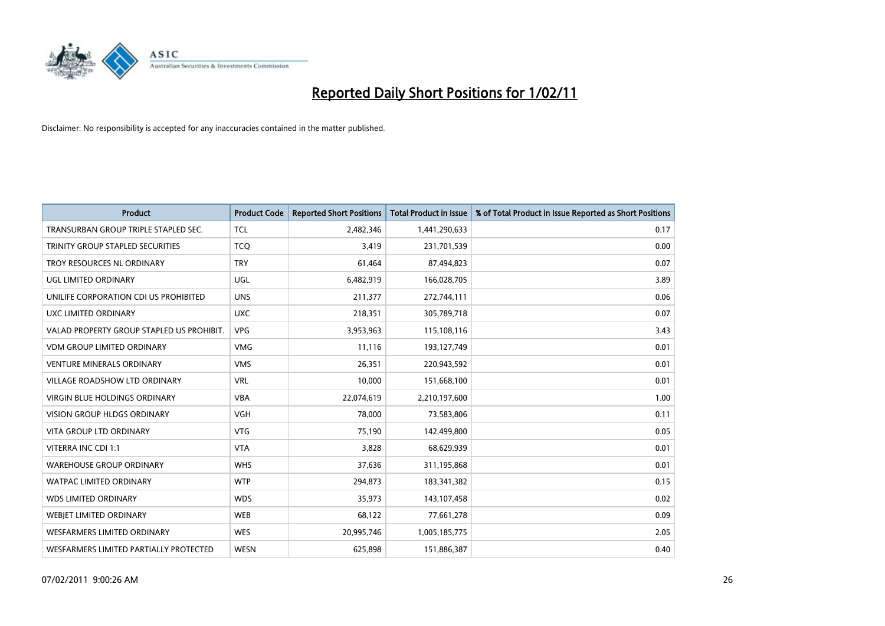

| <b>Product</b>                            | <b>Product Code</b> | <b>Reported Short Positions</b> | Total Product in Issue | % of Total Product in Issue Reported as Short Positions |
|-------------------------------------------|---------------------|---------------------------------|------------------------|---------------------------------------------------------|
| TRANSURBAN GROUP TRIPLE STAPLED SEC.      | <b>TCL</b>          | 2,482,346                       | 1,441,290,633          | 0.17                                                    |
| TRINITY GROUP STAPLED SECURITIES          | <b>TCO</b>          | 3,419                           | 231,701,539            | 0.00                                                    |
| TROY RESOURCES NL ORDINARY                | <b>TRY</b>          | 61,464                          | 87,494,823             | 0.07                                                    |
| UGL LIMITED ORDINARY                      | <b>UGL</b>          | 6,482,919                       | 166,028,705            | 3.89                                                    |
| UNILIFE CORPORATION CDI US PROHIBITED     | <b>UNS</b>          | 211.377                         | 272,744,111            | 0.06                                                    |
| UXC LIMITED ORDINARY                      | <b>UXC</b>          | 218,351                         | 305,789,718            | 0.07                                                    |
| VALAD PROPERTY GROUP STAPLED US PROHIBIT. | <b>VPG</b>          | 3,953,963                       | 115,108,116            | 3.43                                                    |
| <b>VDM GROUP LIMITED ORDINARY</b>         | <b>VMG</b>          | 11,116                          | 193,127,749            | 0.01                                                    |
| <b>VENTURE MINERALS ORDINARY</b>          | <b>VMS</b>          | 26.351                          | 220,943,592            | 0.01                                                    |
| VILLAGE ROADSHOW LTD ORDINARY             | <b>VRL</b>          | 10,000                          | 151,668,100            | 0.01                                                    |
| VIRGIN BLUE HOLDINGS ORDINARY             | <b>VBA</b>          | 22,074,619                      | 2,210,197,600          | 1.00                                                    |
| <b>VISION GROUP HLDGS ORDINARY</b>        | <b>VGH</b>          | 78.000                          | 73,583,806             | 0.11                                                    |
| <b>VITA GROUP LTD ORDINARY</b>            | <b>VTG</b>          | 75,190                          | 142,499,800            | 0.05                                                    |
| VITERRA INC CDI 1:1                       | <b>VTA</b>          | 3,828                           | 68,629,939             | 0.01                                                    |
| <b>WAREHOUSE GROUP ORDINARY</b>           | <b>WHS</b>          | 37,636                          | 311,195,868            | 0.01                                                    |
| <b>WATPAC LIMITED ORDINARY</b>            | <b>WTP</b>          | 294,873                         | 183,341,382            | 0.15                                                    |
| <b>WDS LIMITED ORDINARY</b>               | <b>WDS</b>          | 35,973                          | 143,107,458            | 0.02                                                    |
| <b>WEBIET LIMITED ORDINARY</b>            | <b>WEB</b>          | 68,122                          | 77,661,278             | 0.09                                                    |
| <b>WESFARMERS LIMITED ORDINARY</b>        | <b>WES</b>          | 20,995,746                      | 1,005,185,775          | 2.05                                                    |
| WESFARMERS LIMITED PARTIALLY PROTECTED    | <b>WESN</b>         | 625.898                         | 151,886,387            | 0.40                                                    |